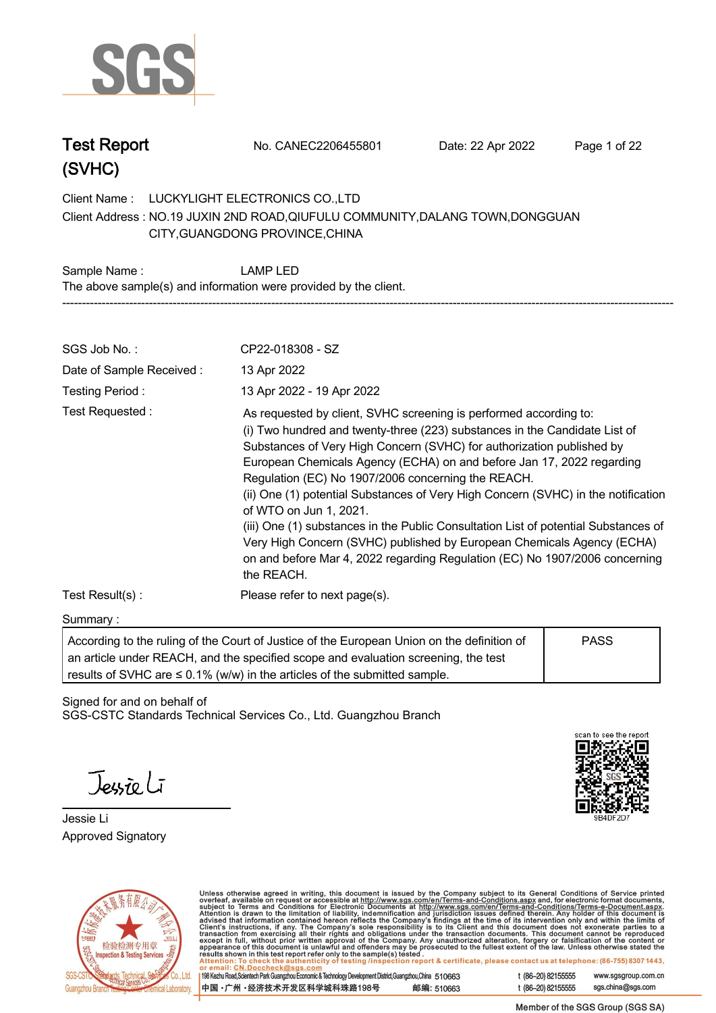

| <b>Test Report</b> | No. CANEC2206455801 | Date: 22 Apr 2022 | Page 1 of 22 |
|--------------------|---------------------|-------------------|--------------|
|                    |                     |                   |              |

**Client Name : LUCKYLIGHT ELECTRONICS CO.,LTD .** Client Address : NO.19 JUXIN 2ND ROAD,QIUFULU COMMUNITY,DALANG TOWN,DONGGUAN<br>CITY,GUANGDONG PROVINCE,CHINA<br>**. CITY,GUANGDONG PROVINCE,CHINA**

**Sample Name : LAMP LED. The above sample(s) and information were provided by the client. -----------------------------------------------------------------------------------------------------------------------------------------------------------**

| SGS Job No.:             | CP22-018308 - SZ                                                                                                                                                                                                                                                                                                                                                                                                                                                                                                                                                                                                                                                                                                                     |
|--------------------------|--------------------------------------------------------------------------------------------------------------------------------------------------------------------------------------------------------------------------------------------------------------------------------------------------------------------------------------------------------------------------------------------------------------------------------------------------------------------------------------------------------------------------------------------------------------------------------------------------------------------------------------------------------------------------------------------------------------------------------------|
| Date of Sample Received: | 13 Apr 2022                                                                                                                                                                                                                                                                                                                                                                                                                                                                                                                                                                                                                                                                                                                          |
| Testing Period:          | 13 Apr 2022 - 19 Apr 2022                                                                                                                                                                                                                                                                                                                                                                                                                                                                                                                                                                                                                                                                                                            |
| Test Requested:          | As requested by client, SVHC screening is performed according to:<br>(i) Two hundred and twenty-three (223) substances in the Candidate List of<br>Substances of Very High Concern (SVHC) for authorization published by<br>European Chemicals Agency (ECHA) on and before Jan 17, 2022 regarding<br>Regulation (EC) No 1907/2006 concerning the REACH.<br>(ii) One (1) potential Substances of Very High Concern (SVHC) in the notification<br>of WTO on Jun 1, 2021.<br>(iii) One (1) substances in the Public Consultation List of potential Substances of<br>Very High Concern (SVHC) published by European Chemicals Agency (ECHA)<br>on and before Mar 4, 2022 regarding Regulation (EC) No 1907/2006 concerning<br>the REACH. |
| Test Result(s):          | Please refer to next page(s).                                                                                                                                                                                                                                                                                                                                                                                                                                                                                                                                                                                                                                                                                                        |

#### **Summary :.**

| According to the ruling of the Court of Justice of the European Union on the definition of | PASS |  |
|--------------------------------------------------------------------------------------------|------|--|
| an article under REACH, and the specified scope and evaluation screening, the test         |      |  |
| results of SVHC are $\leq$ 0.1% (w/w) in the articles of the submitted sample.             |      |  |

Signed for and on behalf of SGS-CSTC Standards Technical Services Co., Ltd. Guangzhou Branch.

Teurio Li

**Jessie Li. Approved Signatory . . .**





Unless otherwise agreed in writing, this document is issued by the Company subject to its General Conditions of Service printed<br>overleaf, available on request or accessible at http://www.sgs.com/en/Terms-and-Conditions.as

| 198 Kezhu Road, Scientech Park Guangzhou Economic & Technology Development District, Guangzhou, China 510663 |            |
|--------------------------------------------------------------------------------------------------------------|------------|
| 中国・广州 ・经济技术开发区科学城科珠路198号                                                                                     | 邮编: 510663 |

t (86-20) 82155555 www.sgsgroup.com.cn sgs.china@sgs.com t (86-20) 82155555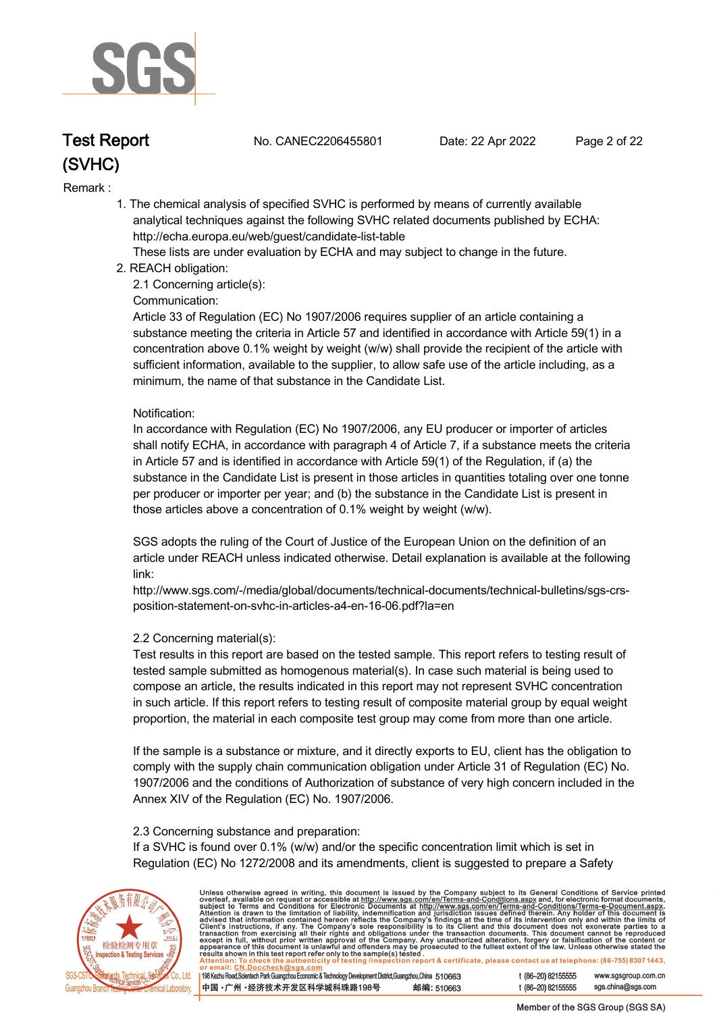

**Test Report. No. CANEC2206455801 . Date: 22 Apr 2022. Page 2 of 22.**

#### **Remark :.**

 **1. The chemical analysis of specified SVHC is performed by means of currently available analytical techniques against the following SVHC related documents published by ECHA: http://echa.europa.eu/web/guest/candidate-list-table** 

 **These lists are under evaluation by ECHA and may subject to change in the future.** 

 **2. REACH obligation:** 

 **2.1 Concerning article(s):** 

#### **Communication:**

 **Article 33 of Regulation (EC) No 1907/2006 requires supplier of an article containing a substance meeting the criteria in Article 57 and identified in accordance with Article 59(1) in a concentration above 0.1% weight by weight (w/w) shall provide the recipient of the article with sufficient information, available to the supplier, to allow safe use of the article including, as a minimum, the name of that substance in the Candidate List.** 

#### **Notification:**

 **In accordance with Regulation (EC) No 1907/2006, any EU producer or importer of articles shall notify ECHA, in accordance with paragraph 4 of Article 7, if a substance meets the criteria in Article 57 and is identified in accordance with Article 59(1) of the Regulation, if (a) the substance in the Candidate List is present in those articles in quantities totaling over one tonne per producer or importer per year; and (b) the substance in the Candidate List is present in those articles above a concentration of 0.1% weight by weight (w/w).** 

 **SGS adopts the ruling of the Court of Justice of the European Union on the definition of an article under REACH unless indicated otherwise. Detail explanation is available at the following link:** 

 **http://www.sgs.com/-/media/global/documents/technical-documents/technical-bulletins/sgs-crs position-statement-on-svhc-in-articles-a4-en-16-06.pdf?la=en** 

#### **2.2 Concerning material(s):**

 **Test results in this report are based on the tested sample. This report refers to testing result of tested sample submitted as homogenous material(s). In case such material is being used to compose an article, the results indicated in this report may not represent SVHC concentration in such article. If this report refers to testing result of composite material group by equal weight proportion, the material in each composite test group may come from more than one article.** 

 **If the sample is a substance or mixture, and it directly exports to EU, client has the obligation to comply with the supply chain communication obligation under Article 31 of Regulation (EC) No. 1907/2006 and the conditions of Authorization of substance of very high concern included in the Annex XIV of the Regulation (EC) No. 1907/2006.** 

#### **2.3 Concerning substance and preparation:**

 **If a SVHC is found over 0.1% (w/w) and/or the specific concentration limit which is set in Regulation (EC) No 1272/2008 and its amendments, client is suggested to prepare a Safety** 



Unless otherwise agreed in writing, this document is issued by the Company subject to its General Conditions of Service printed<br>overleaf, available on request or accessible at http://www.sgs.com/en/Terms-and-Conditions.as t (86-20) 82155555 www.sgsgroup.com.cn

198 Kezhu Road, Scientech Park Guangzhou Economic & Technology Development District, Guangzhou, China 510663 中国·广州·经济技术开发区科学城科珠路198号 邮编: 510663

t (86-20) 82155555 sas.china@sas.com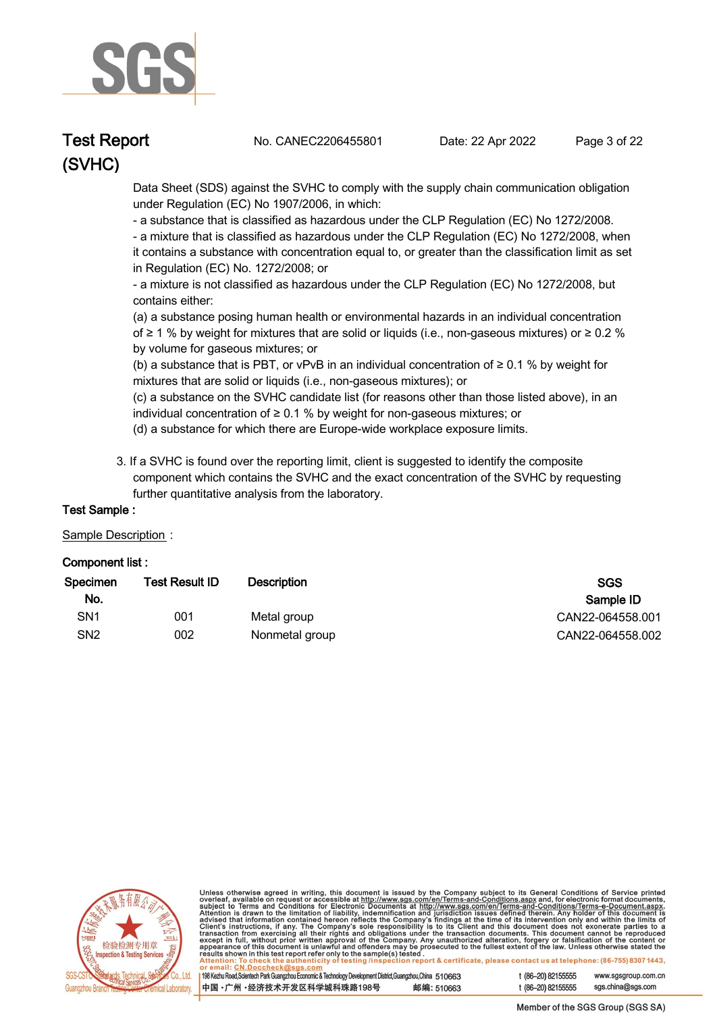

**Test Report. No. CANEC2206455801 . Date: 22 Apr 2022. Page 3 of 22.**

 **Data Sheet (SDS) against the SVHC to comply with the supply chain communication obligation under Regulation (EC) No 1907/2006, in which:** 

 **- a substance that is classified as hazardous under the CLP Regulation (EC) No 1272/2008.** 

 **- a mixture that is classified as hazardous under the CLP Regulation (EC) No 1272/2008, when it contains a substance with concentration equal to, or greater than the classification limit as set in Regulation (EC) No. 1272/2008; or** 

 **- a mixture is not classified as hazardous under the CLP Regulation (EC) No 1272/2008, but contains either:** 

 **(a) a substance posing human health or environmental hazards in an individual concentration of ≥ 1 % by weight for mixtures that are solid or liquids (i.e., non-gaseous mixtures) or ≥ 0.2 % by volume for gaseous mixtures; or** 

 **(b) a substance that is PBT, or vPvB in an individual concentration of ≥ 0.1 % by weight for mixtures that are solid or liquids (i.e., non-gaseous mixtures); or** 

 **(c) a substance on the SVHC candidate list (for reasons other than those listed above), in an individual concentration of ≥ 0.1 % by weight for non-gaseous mixtures; or** 

- **(d) a substance for which there are Europe-wide workplace exposure limits.**
- **3. If a SVHC is found over the reporting limit, client is suggested to identify the composite component which contains the SVHC and the exact concentration of the SVHC by requesting further quantitative analysis from the laboratory.**

#### **Test Sample :.**

#### **Sample Description :.**

#### **Component list :.**

| <b>Test Result ID</b> | Description    | <b>SGS</b><br>Sample ID |
|-----------------------|----------------|-------------------------|
| 001                   | Metal group    | CAN22-064558.001        |
| 002                   | Nonmetal group | CAN22-064558.002        |
|                       |                |                         |



Unless otherwise agreed in writing, this document is issued by the Company subject to its General Conditions of Service printed overleaf, available on request or accessible at http://www.sgs.com/en/Terms-and-Conditions.as

| 198 Kezhu Road, Scientech Park Guangzhou Economic & Technology Development District, Guangzhou, China 510663 |            |
|--------------------------------------------------------------------------------------------------------------|------------|
| 中国 •广州 •经济技术开发区科学城科珠路198号                                                                                    | 邮编: 510663 |

t (86-20) 82155555 www.sgsgroup.com.cn t (86-20) 82155555 sgs.china@sgs.com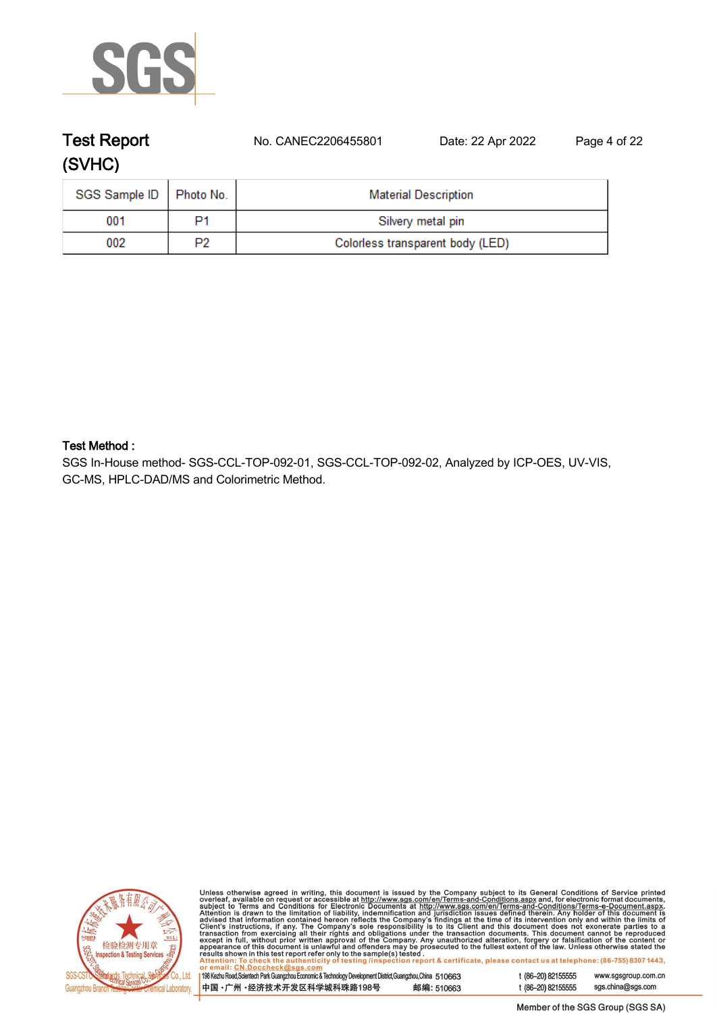

# **Test Report. No. CANEC2206455801 . Date: 22 Apr 2022. Page 4 of 22. (SVHC)**

| SGS Sample ID   Photo No. |    | <b>Material Description</b>      |
|---------------------------|----|----------------------------------|
| 001                       | P1 | Silvery metal pin                |
| 002                       | P2 | Colorless transparent body (LED) |

#### **Test Method :.**

**SGS In-House method- SGS-CCL-TOP-092-01, SGS-CCL-TOP-092-02, Analyzed by ICP-OES, UV-VIS, GC-MS, HPLC-DAD/MS and Colorimetric Method. .**



Unless otherwise agreed in writing, this document is issued by the Company subject to its General Conditions of Service printed<br>overleaf, available on request or accessible at http://www.sgs.com/en/Terms-and-Conditions.as

| 198 Kezhu Road, Scientech Park Guangzhou Economic & Technology Development District, Guangzhou, China 510663 |            |
|--------------------------------------------------------------------------------------------------------------|------------|
| 中国 •广州 •经济技术开发区科学城科珠路198号 »                                                                                  | 邮编: 510663 |

sgs.china@sgs.com t (86-20) 82155555

www.sgsgroup.com.cn

t (86-20) 82155555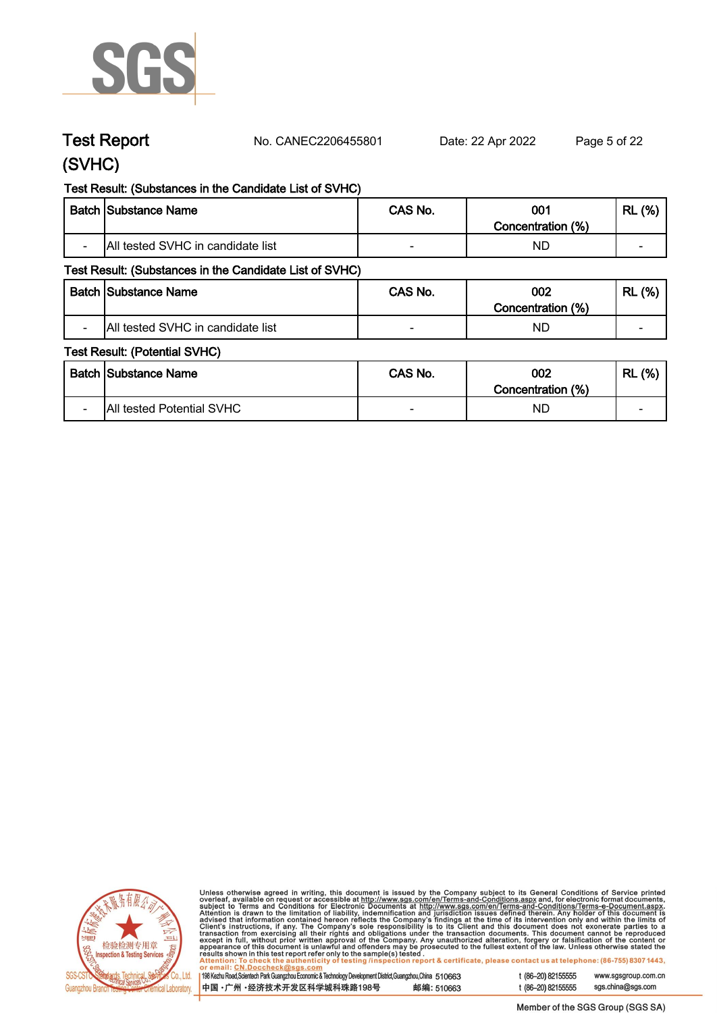

**Test Report. No. CANEC2206455801 . Date: 22 Apr 2022. Page 5 of 22.**

## **(SVHC)**

#### **Test Result: (Substances in the Candidate List of SVHC)**

|                          | <b>Batch Substance Name</b>       | CAS No. | 001<br>Concentration (%) | (%)<br><b>RL</b> |
|--------------------------|-----------------------------------|---------|--------------------------|------------------|
| $\overline{\phantom{0}}$ | All tested SVHC in candidate list | -       | NL                       | -                |

#### **Test Result: (Substances in the Candidate List of SVHC)**

|                          | <b>Batch Substance Name</b>       | CAS No. | 002                  | (% )<br><b>RL</b>        |
|--------------------------|-----------------------------------|---------|----------------------|--------------------------|
|                          |                                   |         | (%)<br>Concentration |                          |
| $\overline{\phantom{0}}$ | All tested SVHC in candidate list |         | ND                   | $\overline{\phantom{a}}$ |

#### **Test Result: (Potential SVHC)**

|                          | Batch Substance Name      | CAS No. | 002<br>Concentration (%) | (% )<br><b>RL</b>        |
|--------------------------|---------------------------|---------|--------------------------|--------------------------|
| $\overline{\phantom{0}}$ | All tested Potential SVHC | $\sim$  | ND.                      | $\overline{\phantom{0}}$ |



Unless otherwise agreed in writing, this document is issued by the Company subject to its General Conditions of Service printed<br>overleaf, available on request or accessible at http://www.sgs.com/en/Terms-and-Conditions.as

| 01 6111a11. 011.DOCCH6CRW3U3.COM                                                                          |            |
|-----------------------------------------------------------------------------------------------------------|------------|
| 198 Kezhu Road,Scientech Park Guangzhou Economic & Technology Development District,Guangzhou,China 510663 |            |
|                                                                                                           |            |
| 中国 •广州 •经济技术开发区科学城科珠路198号                                                                                 | 邮编: 510663 |
|                                                                                                           |            |

t (86-20) 82155555 sgs.china@sgs.com

www.sgsgroup.com.cn

t (86-20) 82155555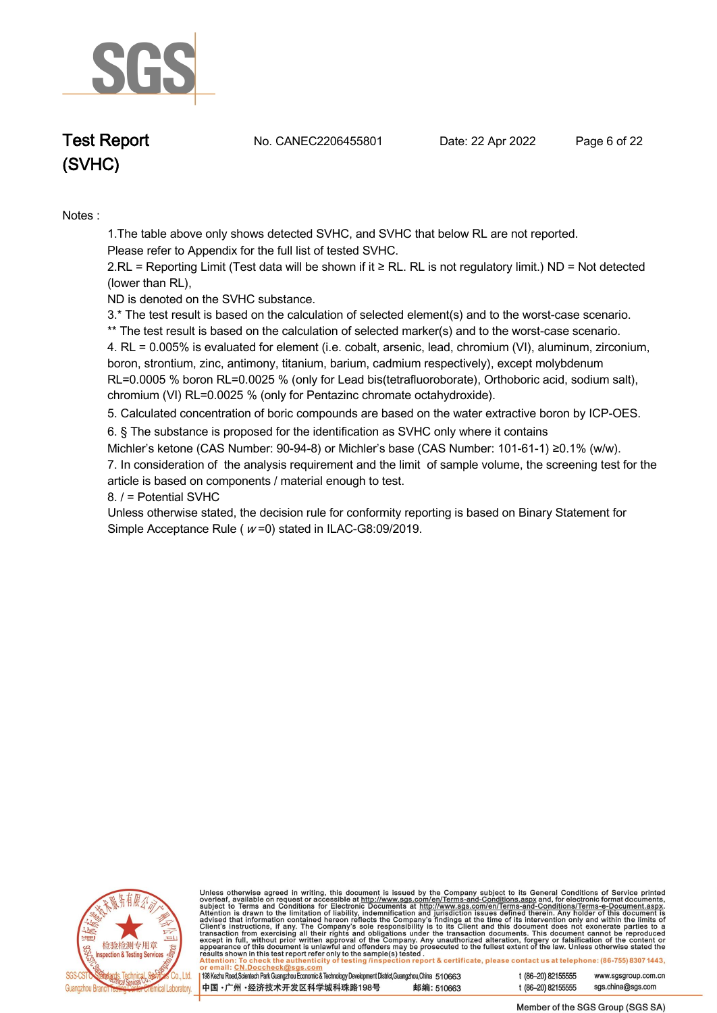

**Test Report. No. CANEC2206455801 . Date: 22 Apr 2022. Page 6 of 22.**

**Notes :.**

**1.The table above only shows detected SVHC, and SVHC that below RL are not reported.** 

**Please refer to Appendix for the full list of tested SVHC.**

**2.RL = Reporting Limit (Test data will be shown if it ≥ RL. RL is not regulatory limit.) ND = Not detected (lower than RL),** 

**ND is denoted on the SVHC substance.**

**3.\* The test result is based on the calculation of selected element(s) and to the worst-case scenario.** 

**\*\* The test result is based on the calculation of selected marker(s) and to the worst-case scenario.** 

**4. RL = 0.005% is evaluated for element (i.e. cobalt, arsenic, lead, chromium (VI), aluminum, zirconium, boron, strontium, zinc, antimony, titanium, barium, cadmium respectively), except molybdenum RL=0.0005 % boron RL=0.0025 % (only for Lead bis(tetrafluoroborate), Orthoboric acid, sodium salt), chromium (VI) RL=0.0025 % (only for Pentazinc chromate octahydroxide). .**

**5. Calculated concentration of boric compounds are based on the water extractive boron by ICP-OES. .**

**6. § The substance is proposed for the identification as SVHC only where it contains** 

**Michler's ketone (CAS Number: 90-94-8) or Michler's base (CAS Number: 101-61-1) ≥0.1% (w/w). 7. In consideration of the analysis requirement and the limit of sample volume, the screening test for the article is based on components / material enough to test.**

**8. / = Potential SVHC .**

**Unless otherwise stated, the decision rule for conformity reporting is based on Binary Statement for Simple Acceptance Rule ( <sup>w</sup> =0) stated in ILAC-G8:09/2019. .**



Unless otherwise agreed in writing, this document is issued by the Company subject to its General Conditions of Service printed overleaf, available on request or accessible at http://www.sgs.com/en/Terms-and-Conditions.as

| 198 Kezhu Road, Scientech Park Guangzhou Economic & Technology Development District, Guangzhou, China 510663 |            |  |
|--------------------------------------------------------------------------------------------------------------|------------|--|
| 中国 •广州 •经济技术开发区科学城科珠路198号 »                                                                                  | 邮编: 510663 |  |

t (86-20) 82155555 www.sgsgroup.com.cn t (86-20) 82155555 sgs.china@sgs.com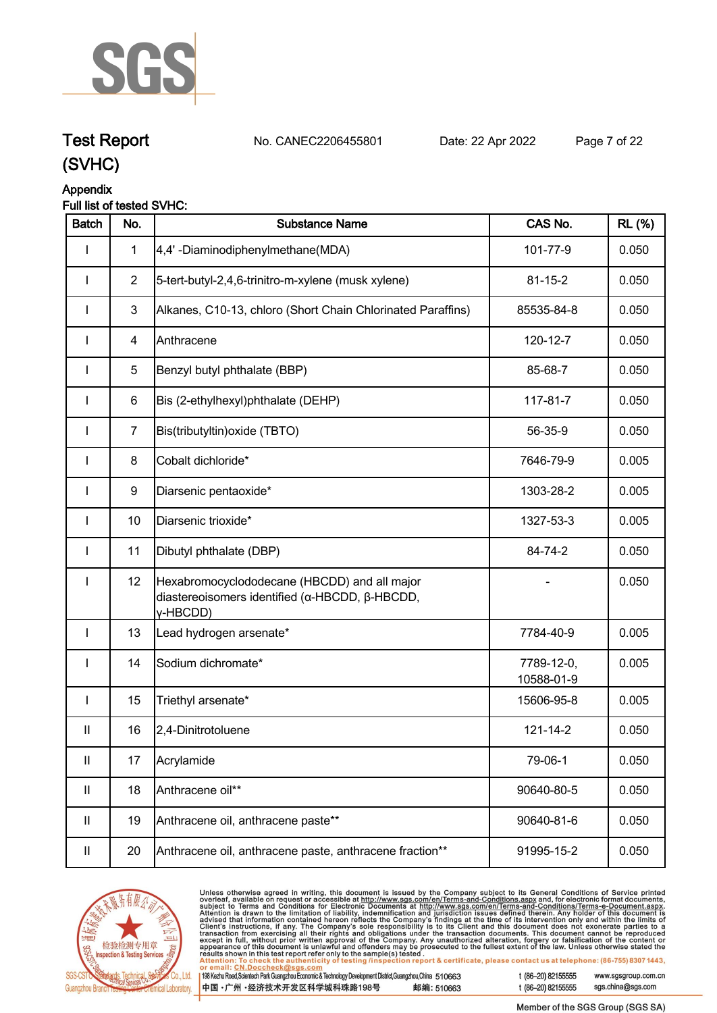

**Test Report. No. CANEC2206455801 . Date: 22 Apr 2022. Page 7 of 22.**

## **Appendix**

#### **Full list of tested SVHC:**

| <b>Batch</b>               | No.            | <b>Substance Name</b>                                                                                      | CAS No.                  | <b>RL</b> (%) |
|----------------------------|----------------|------------------------------------------------------------------------------------------------------------|--------------------------|---------------|
|                            | $\mathbf{1}$   | 4,4'-Diaminodiphenylmethane(MDA)                                                                           | 101-77-9                 | 0.050         |
| ı                          | $\overline{2}$ | 5-tert-butyl-2,4,6-trinitro-m-xylene (musk xylene)                                                         | $81 - 15 - 2$            | 0.050         |
|                            | $\mathbf{3}$   | Alkanes, C10-13, chloro (Short Chain Chlorinated Paraffins)                                                | 85535-84-8               | 0.050         |
| ı                          | $\overline{4}$ | Anthracene                                                                                                 | 120-12-7                 | 0.050         |
| I                          | 5              | Benzyl butyl phthalate (BBP)                                                                               | 85-68-7                  | 0.050         |
| I                          | $\,6$          | Bis (2-ethylhexyl)phthalate (DEHP)                                                                         | 117-81-7                 | 0.050         |
| <b>I</b>                   | $\overline{7}$ | Bis(tributyltin) oxide (TBTO)                                                                              | 56-35-9                  | 0.050         |
| <b>I</b>                   | 8              | Cobalt dichloride*                                                                                         | 7646-79-9                | 0.005         |
| I                          | 9              | Diarsenic pentaoxide*                                                                                      | 1303-28-2                | 0.005         |
| <b>I</b>                   | 10             | Diarsenic trioxide*                                                                                        | 1327-53-3                | 0.005         |
| I                          | 11             | Dibutyl phthalate (DBP)                                                                                    | 84-74-2                  | 0.050         |
| I                          | 12             | Hexabromocyclododecane (HBCDD) and all major<br>diastereoisomers identified (α-HBCDD, β-HBCDD,<br>y-HBCDD) |                          | 0.050         |
| $\mathbf{I}$               | 13             | Lead hydrogen arsenate*                                                                                    | 7784-40-9                | 0.005         |
| I                          | 14             | Sodium dichromate*                                                                                         | 7789-12-0,<br>10588-01-9 | 0.005         |
| I                          | 15             | Triethyl arsenate*                                                                                         | 15606-95-8               | 0.005         |
| $\mathbf{II}$              | 16             | 2,4-Dinitrotoluene                                                                                         | 121-14-2                 | 0.050         |
| $\ensuremath{\mathsf{II}}$ | 17             | Acrylamide                                                                                                 | 79-06-1                  | 0.050         |
| $\mathbf{II}$              | 18             | Anthracene oil**                                                                                           | 90640-80-5               | 0.050         |
| $\mathbf{II}$              | 19             | Anthracene oil, anthracene paste**                                                                         | 90640-81-6               | 0.050         |
| $\ensuremath{\mathsf{II}}$ | 20             | Anthracene oil, anthracene paste, anthracene fraction**                                                    | 91995-15-2               | 0.050         |



Unless otherwise agreed in writing, this document is issued by the Company subject to its General Conditions of Service printed<br>overleaf, available on request or accessible at <u>http://www.sgs.com/en/Terms-and-Conditions.a</u> t (86-20) 82155555 www.sgsgroup.com.cn

| . 198 Kezhu Road,Scientech Park Guangzhou Economic & Technology Development District,Guangzhou,China 510663 |            |
|-------------------------------------------------------------------------------------------------------------|------------|
| 中国 •广州 •经济技术开发区科学城科珠路198号                                                                                   | 邮编: 510663 |

sgs.china@sgs.com t (86-20) 82155555

Member of the SGS Group (SGS SA)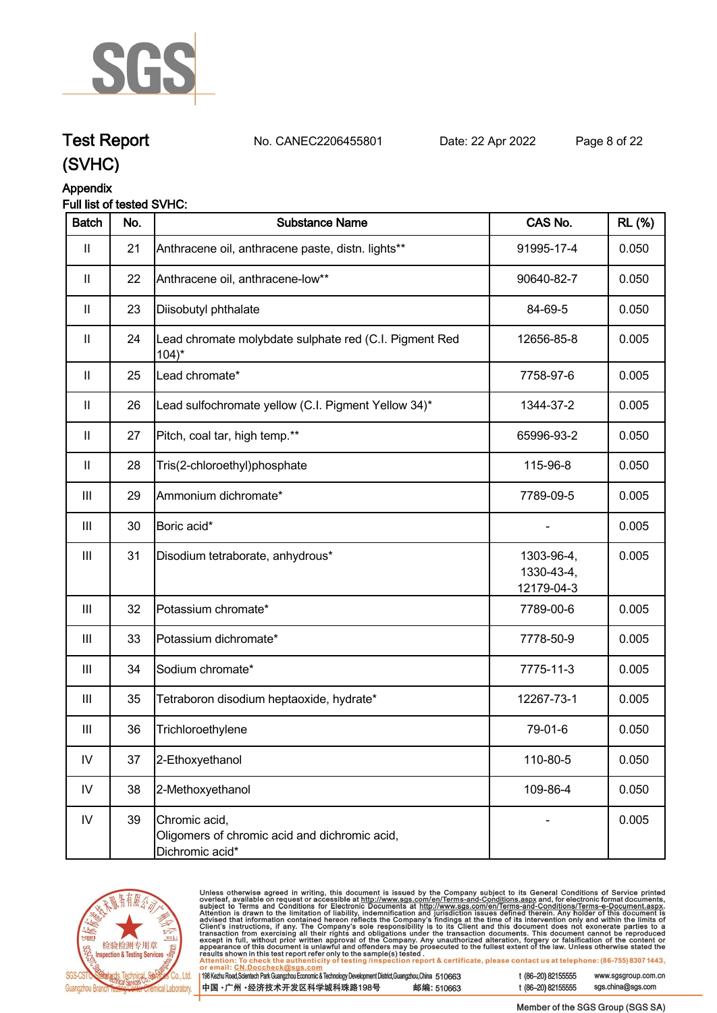

## **Test Report. No. CANEC2206455801 . Date: 22 Apr 2022. Page 8 of 22.**

# **Appendix**

#### **Full list of tested SVHC:**

| <b>Batch</b>  | No. | <b>Substance Name</b>                                                             | CAS No.                                | <b>RL</b> (%) |
|---------------|-----|-----------------------------------------------------------------------------------|----------------------------------------|---------------|
| Ш             | 21  | Anthracene oil, anthracene paste, distn. lights**                                 | 91995-17-4                             | 0.050         |
| Ш             | 22  | Anthracene oil, anthracene-low**                                                  | 90640-82-7                             | 0.050         |
| $\mathbf{  }$ | 23  | Diisobutyl phthalate                                                              | 84-69-5                                | 0.050         |
| $\mathbf{  }$ | 24  | Lead chromate molybdate sulphate red (C.I. Pigment Red<br>$104$ <sup>*</sup>      | 12656-85-8                             | 0.005         |
| $\mathbf{  }$ | 25  | Lead chromate*                                                                    | 7758-97-6                              | 0.005         |
| $\mathbf{  }$ | 26  | Lead sulfochromate yellow (C.I. Pigment Yellow 34)*                               | 1344-37-2                              | 0.005         |
| $\mathbf{  }$ | 27  | Pitch, coal tar, high temp.**                                                     | 65996-93-2                             | 0.050         |
| $\mathbf{II}$ | 28  | Tris(2-chloroethyl)phosphate                                                      | 115-96-8                               | 0.050         |
| Ш             | 29  | Ammonium dichromate*                                                              | 7789-09-5                              | 0.005         |
| Ш             | 30  | Boric acid*                                                                       |                                        | 0.005         |
| Ш             | 31  | Disodium tetraborate, anhydrous*                                                  | 1303-96-4,<br>1330-43-4,<br>12179-04-3 | 0.005         |
| III           | 32  | Potassium chromate*                                                               | 7789-00-6                              | 0.005         |
| Ш             | 33  | Potassium dichromate*                                                             | 7778-50-9                              | 0.005         |
| Ш             | 34  | Sodium chromate*                                                                  | 7775-11-3                              | 0.005         |
| Ш             | 35  | Tetraboron disodium heptaoxide, hydrate*                                          | 12267-73-1                             | 0.005         |
| Ш             | 36  | Trichloroethylene                                                                 | 79-01-6                                | 0.050         |
| ${\sf IV}$    | 37  | 2-Ethoxyethanol                                                                   | 110-80-5                               | 0.050         |
| IV            | 38  | 2-Methoxyethanol                                                                  | 109-86-4                               | 0.050         |
| $\mathsf{IV}$ | 39  | Chromic acid,<br>Oligomers of chromic acid and dichromic acid,<br>Dichromic acid* |                                        | 0.005         |



Unless otherwise agreed in writing, this document is issued by the Company subject to its General Conditions of Service printed<br>overleaf, available on request or accessible at <u>http://www.sgs.com/en/Terms-and-Conditions.a</u>

| 198 Kezhu Road,Scientech Park Guangzhou Economic & Technology Development District,Guangzhou,China 510663 |            |
|-----------------------------------------------------------------------------------------------------------|------------|
| 中国 •广州 •经济技术开发区科学城科珠路198号                                                                                 | 邮编: 510663 |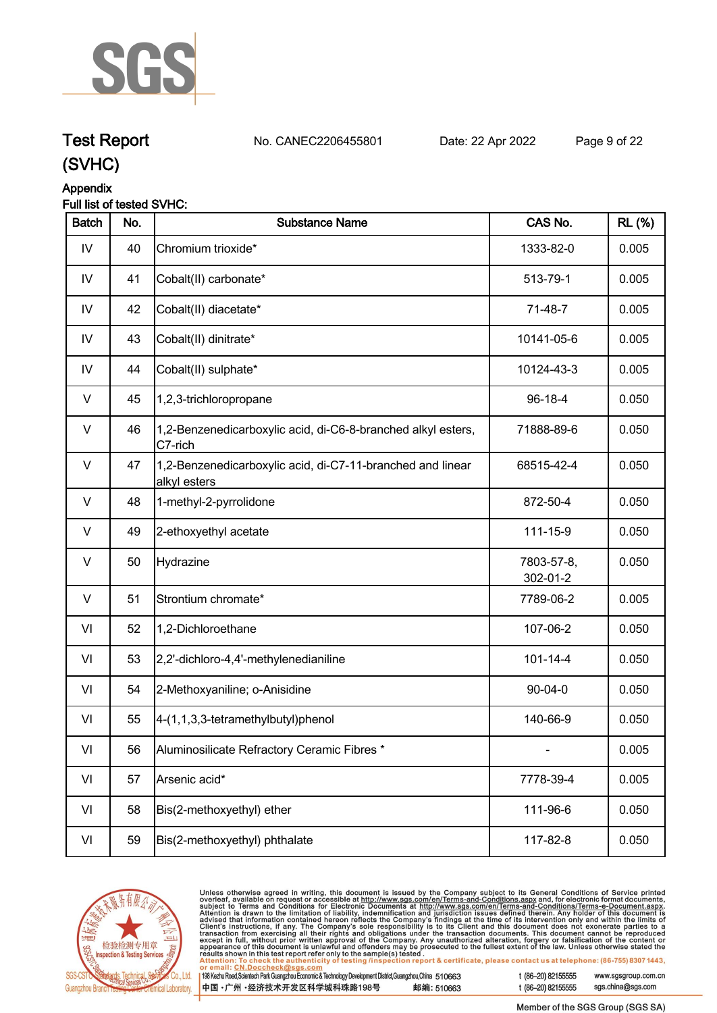

# **Test Report. No. CANEC2206455801 . Date: 22 Apr 2022. Page 9 of 22.**

**(SVHC)**

#### **Appendix**

#### **Full list of tested SVHC:**

| <b>Batch</b>  | No. | <b>Substance Name</b>                                                      | CAS No.                | <b>RL</b> (%) |
|---------------|-----|----------------------------------------------------------------------------|------------------------|---------------|
| IV            | 40  | Chromium trioxide*                                                         | 1333-82-0              | 0.005         |
| $\mathsf{IV}$ | 41  | Cobalt(II) carbonate*                                                      | 513-79-1               | 0.005         |
| IV            | 42  | Cobalt(II) diacetate*                                                      | 71-48-7                | 0.005         |
| IV            | 43  | Cobalt(II) dinitrate*                                                      | 10141-05-6             | 0.005         |
| IV            | 44  | Cobalt(II) sulphate*                                                       | 10124-43-3             | 0.005         |
| $\vee$        | 45  | 1,2,3-trichloropropane                                                     | 96-18-4                | 0.050         |
| V             | 46  | 1,2-Benzenedicarboxylic acid, di-C6-8-branched alkyl esters,<br>C7-rich    | 71888-89-6             | 0.050         |
| V             | 47  | 1,2-Benzenedicarboxylic acid, di-C7-11-branched and linear<br>alkyl esters | 68515-42-4             | 0.050         |
| V             | 48  | 1-methyl-2-pyrrolidone                                                     | 872-50-4               | 0.050         |
| V             | 49  | 2-ethoxyethyl acetate                                                      | 111-15-9               | 0.050         |
| $\vee$        | 50  | Hydrazine                                                                  | 7803-57-8,<br>302-01-2 | 0.050         |
| $\vee$        | 51  | Strontium chromate*                                                        | 7789-06-2              | 0.005         |
| VI            | 52  | 1,2-Dichloroethane                                                         | 107-06-2               | 0.050         |
| VI            | 53  | 2,2'-dichloro-4,4'-methylenedianiline                                      | $101 - 14 - 4$         | 0.050         |
| VI            | 54  | 2-Methoxyaniline; o-Anisidine                                              | $90 - 04 - 0$          | 0.050         |
| VI            | 55  | 4-(1,1,3,3-tetramethylbutyl)phenol                                         | 140-66-9               | 0.050         |
| VI            | 56  | Aluminosilicate Refractory Ceramic Fibres *                                |                        | 0.005         |
| VI            | 57  | Arsenic acid*                                                              | 7778-39-4              | 0.005         |
| VI            | 58  | Bis(2-methoxyethyl) ether                                                  | 111-96-6               | 0.050         |
| VI            | 59  | Bis(2-methoxyethyl) phthalate                                              | 117-82-8               | 0.050         |



Unless otherwise agreed in writing, this document is issued by the Company subject to its General Conditions of Service printed<br>overleaf, available on request or accessible at <u>http://www.sgs.com/en/Terms-and-Conditions.a</u>

|  | 98 Kezhu Road, Scientech Park Guangzhou Economic & Technology Development District, Guangzhou, China 510663 |            |
|--|-------------------------------------------------------------------------------------------------------------|------------|
|  | 中国 •广州 •经济技术开发区科学城科珠路198号 」                                                                                 | 邮编: 510663 |

t (86-20) 82155555 www.sgsgroup.com.cn

t (86-20) 82155555

sgs.china@sgs.com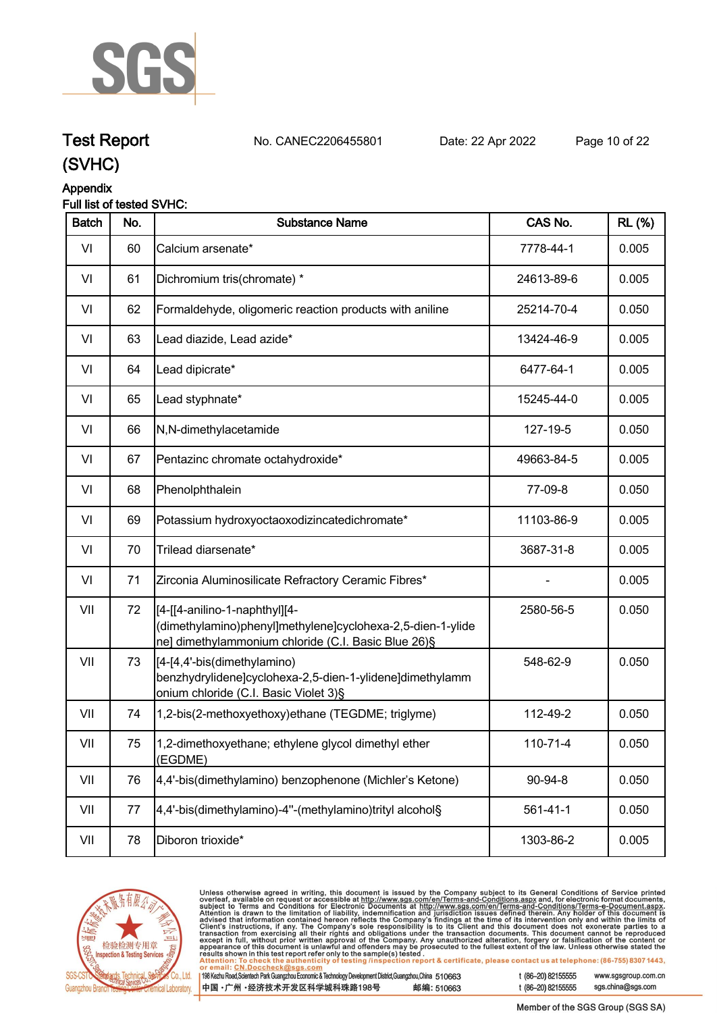

## **Test Report. No. CANEC2206455801 . Date: 22 Apr 2022. Page 10 of 22.**

## **Appendix**

#### **Full list of tested SVHC:**

| <b>Batch</b> | No. | <b>Substance Name</b>                                                                                                                              | CAS No.        | <b>RL</b> (%) |
|--------------|-----|----------------------------------------------------------------------------------------------------------------------------------------------------|----------------|---------------|
| VI           | 60  | Calcium arsenate*                                                                                                                                  | 7778-44-1      | 0.005         |
| VI           | 61  | Dichromium tris(chromate) *                                                                                                                        | 24613-89-6     | 0.005         |
| VI           | 62  | Formaldehyde, oligomeric reaction products with aniline                                                                                            | 25214-70-4     | 0.050         |
| VI           | 63  | Lead diazide, Lead azide*                                                                                                                          | 13424-46-9     | 0.005         |
| VI           | 64  | Lead dipicrate*                                                                                                                                    | 6477-64-1      | 0.005         |
| VI           | 65  | Lead styphnate*                                                                                                                                    | 15245-44-0     | 0.005         |
| VI           | 66  | N,N-dimethylacetamide                                                                                                                              | 127-19-5       | 0.050         |
| VI           | 67  | Pentazinc chromate octahydroxide*                                                                                                                  | 49663-84-5     | 0.005         |
| VI           | 68  | Phenolphthalein                                                                                                                                    | 77-09-8        | 0.050         |
| VI           | 69  | Potassium hydroxyoctaoxodizincatedichromate*                                                                                                       | 11103-86-9     | 0.005         |
| VI           | 70  | Trilead diarsenate*                                                                                                                                | 3687-31-8      | 0.005         |
| VI           | 71  | Zirconia Aluminosilicate Refractory Ceramic Fibres*                                                                                                |                | 0.005         |
| VII          | 72  | [4-[[4-anilino-1-naphthyl][4-<br>(dimethylamino)phenyl]methylene]cyclohexa-2,5-dien-1-ylide<br>ne] dimethylammonium chloride (C.I. Basic Blue 26)§ | 2580-56-5      | 0.050         |
| VII          | 73  | [[4-[4,4'-bis(dimethylamino)<br>benzhydrylidene]cyclohexa-2,5-dien-1-ylidene]dimethylamm<br>onium chloride (C.I. Basic Violet 3)§                  | 548-62-9       | 0.050         |
| VII          | 74  | 1,2-bis(2-methoxyethoxy)ethane (TEGDME; triglyme)                                                                                                  | 112-49-2       | 0.050         |
| VII          | 75  | 1,2-dimethoxyethane; ethylene glycol dimethyl ether<br>(EGDME)                                                                                     | $110 - 71 - 4$ | 0.050         |
| VII          | 76  | 4,4'-bis(dimethylamino) benzophenone (Michler's Ketone)                                                                                            | 90-94-8        | 0.050         |
| VII          | 77  | 4,4'-bis(dimethylamino)-4"-(methylamino)trityl alcohol§                                                                                            | $561 - 41 - 1$ | 0.050         |
| VII          | 78  | Diboron trioxide*                                                                                                                                  | 1303-86-2      | 0.005         |
|              |     |                                                                                                                                                    |                |               |



Unless otherwise agreed in writing, this document is issued by the Company subject to its General Conditions of Service printed<br>overleaf, available on request or accessible at http://www.sgs.com/en/Terms-and-Conditions.as

| l 198 Kezhu Road,Scientech Park Guangzhou Economic & Technology Development District,Guangzhou,China 51 O663 |            |
|--------------------------------------------------------------------------------------------------------------|------------|
| 中国 •广州 •经济技术开发区科学城科珠路198号                                                                                    | 邮编: 510663 |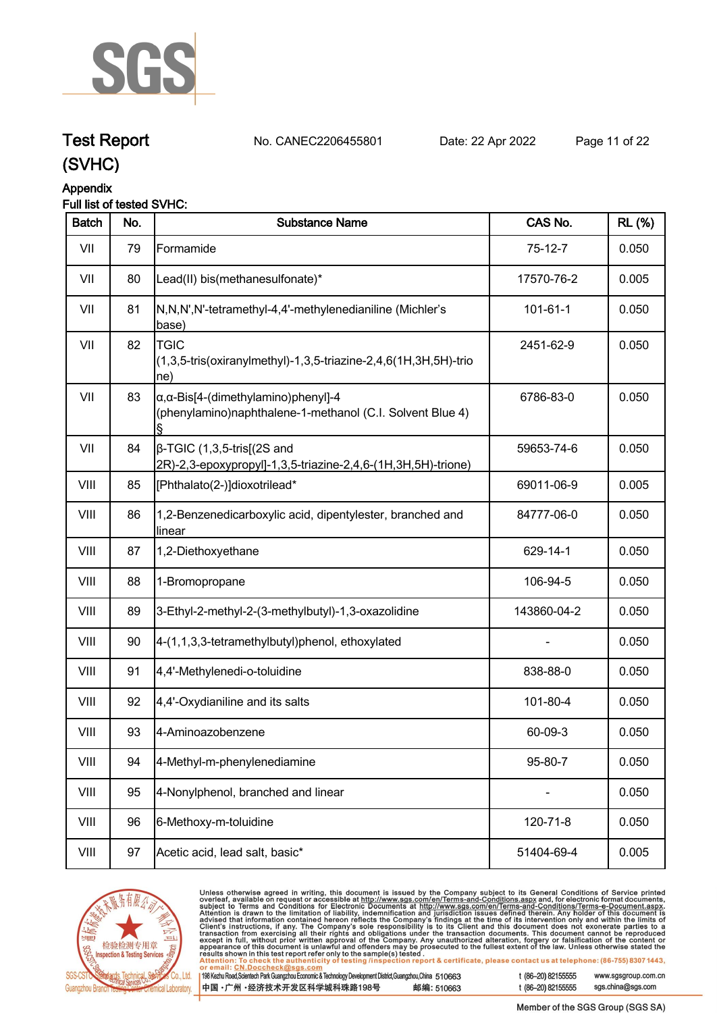

# **Test Report. No. CANEC2206455801 . Date: 22 Apr 2022. Page 11 of 22.**

## **(SVHC)**

#### **Appendix**

#### **Full list of tested SVHC:**

| <b>Batch</b> | No. | <b>Substance Name</b>                                                                                            | CAS No.        | <b>RL</b> (%) |
|--------------|-----|------------------------------------------------------------------------------------------------------------------|----------------|---------------|
| VII          | 79  | Formamide                                                                                                        | $75-12-7$      | 0.050         |
| VII          | 80  | Lead(II) bis(methanesulfonate)*                                                                                  | 17570-76-2     | 0.005         |
| VII          | 81  | N,N,N',N'-tetramethyl-4,4'-methylenedianiline (Michler's<br>base)                                                | $101 - 61 - 1$ | 0.050         |
| VII          | 82  | <b>TGIC</b><br>(1,3,5-tris(oxiranylmethyl)-1,3,5-triazine-2,4,6(1H,3H,5H)-trio<br>ne)                            | 2451-62-9      | 0.050         |
| VII          | 83  | $\alpha$ , $\alpha$ -Bis[4-(dimethylamino)phenyl]-4<br>(phenylamino)naphthalene-1-methanol (C.I. Solvent Blue 4) | 6786-83-0      | 0.050         |
| VII          | 84  | $\beta$ -TGIC (1,3,5-tris[(2S and<br>2R)-2,3-epoxypropyl]-1,3,5-triazine-2,4,6-(1H,3H,5H)-trione)                | 59653-74-6     | 0.050         |
| VIII         | 85  | [Phthalato(2-)]dioxotrilead*                                                                                     | 69011-06-9     | 0.005         |
| VIII         | 86  | 1,2-Benzenedicarboxylic acid, dipentylester, branched and<br>linear                                              | 84777-06-0     | 0.050         |
| VIII         | 87  | 1,2-Diethoxyethane                                                                                               | 629-14-1       | 0.050         |
| VIII         | 88  | 1-Bromopropane                                                                                                   | 106-94-5       | 0.050         |
| VIII         | 89  | 3-Ethyl-2-methyl-2-(3-methylbutyl)-1,3-oxazolidine                                                               | 143860-04-2    | 0.050         |
| VIII         | 90  | 4-(1,1,3,3-tetramethylbutyl)phenol, ethoxylated                                                                  |                | 0.050         |
| VIII         | 91  | 4,4'-Methylenedi-o-toluidine                                                                                     | 838-88-0       | 0.050         |
| VIII         | 92  | 4,4'-Oxydianiline and its salts                                                                                  | 101-80-4       | 0.050         |
| VIII         | 93  | 4-Aminoazobenzene                                                                                                | 60-09-3        | 0.050         |
| VIII         | 94  | 4-Methyl-m-phenylenediamine                                                                                      | 95-80-7        | 0.050         |
| VIII         | 95  | 4-Nonylphenol, branched and linear                                                                               | $\blacksquare$ | 0.050         |
| VIII         | 96  | 6-Methoxy-m-toluidine                                                                                            | 120-71-8       | 0.050         |
| VIII         | 97  | Acetic acid, lead salt, basic*                                                                                   | 51404-69-4     | 0.005         |



Unless otherwise agreed in writing, this document is issued by the Company subject to its General Conditions of Service printed<br>overleaf, available on request or accessible at http://www.sgs.com/en/Terms-and-Conditions.as

| l 198 Kezhu Road,Scientech Park Guangzhou Economic & Technology Development District,Guangzhou,China 51 O663 |            |
|--------------------------------------------------------------------------------------------------------------|------------|
| 【中国 •广州 •经济技术开发区科学城科珠路198号】                                                                                  | 邮编: 510663 |

t (86-20) 82155555 www.sgsgroup.com.cn sgs.china@sgs.com t (86-20) 82155555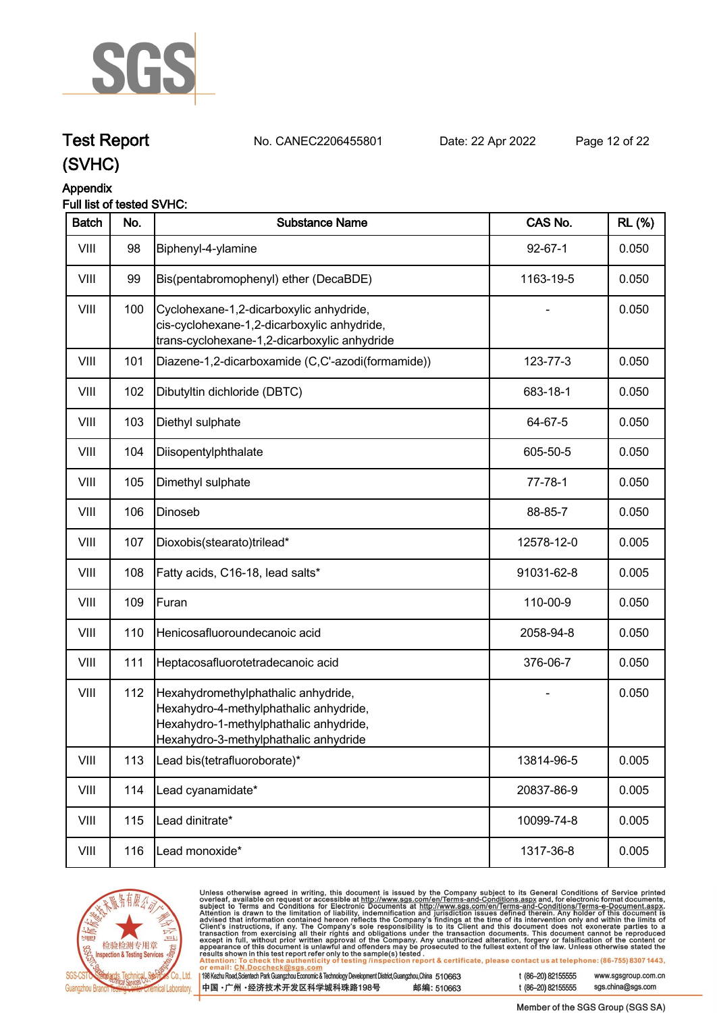

# **Test Report. No. CANEC2206455801 . Date: 22 Apr 2022. Page 12 of 22.**

## **(SVHC)**

#### **Appendix**

#### **Full list of tested SVHC:**

| <b>Batch</b> | No. | <b>Substance Name</b>                                                                                                                                            | CAS No.       | <b>RL</b> (%) |
|--------------|-----|------------------------------------------------------------------------------------------------------------------------------------------------------------------|---------------|---------------|
| VIII         | 98  | Biphenyl-4-ylamine                                                                                                                                               | $92 - 67 - 1$ | 0.050         |
| VIII         | 99  | Bis(pentabromophenyl) ether (DecaBDE)                                                                                                                            | 1163-19-5     | 0.050         |
| VIII         | 100 | Cyclohexane-1,2-dicarboxylic anhydride,<br>cis-cyclohexane-1,2-dicarboxylic anhydride,<br>trans-cyclohexane-1,2-dicarboxylic anhydride                           |               | 0.050         |
| VIII         | 101 | Diazene-1,2-dicarboxamide (C,C'-azodi(formamide))                                                                                                                | 123-77-3      | 0.050         |
| VIII         | 102 | Dibutyltin dichloride (DBTC)                                                                                                                                     | 683-18-1      | 0.050         |
| VIII         | 103 | Diethyl sulphate                                                                                                                                                 | 64-67-5       | 0.050         |
| VIII         | 104 | Diisopentylphthalate                                                                                                                                             | 605-50-5      | 0.050         |
| VIII         | 105 | Dimethyl sulphate                                                                                                                                                | $77 - 78 - 1$ | 0.050         |
| VIII         | 106 | Dinoseb                                                                                                                                                          | 88-85-7       | 0.050         |
| VIII         | 107 | Dioxobis(stearato)trilead*                                                                                                                                       | 12578-12-0    | 0.005         |
| VIII         | 108 | Fatty acids, C16-18, lead salts*                                                                                                                                 | 91031-62-8    | 0.005         |
| VIII         | 109 | Furan                                                                                                                                                            | 110-00-9      | 0.050         |
| VIII         | 110 | Henicosafluoroundecanoic acid                                                                                                                                    | 2058-94-8     | 0.050         |
| VIII         | 111 | Heptacosafluorotetradecanoic acid                                                                                                                                | 376-06-7      | 0.050         |
| VIII         | 112 | Hexahydromethylphathalic anhydride,<br>Hexahydro-4-methylphathalic anhydride,<br>Hexahydro-1-methylphathalic anhydride,<br>Hexahydro-3-methylphathalic anhydride |               | 0.050         |
| VIII         | 113 | Lead bis(tetrafluoroborate)*                                                                                                                                     | 13814-96-5    | 0.005         |
| VIII         | 114 | Lead cyanamidate*                                                                                                                                                | 20837-86-9    | 0.005         |
| VIII         | 115 | Lead dinitrate*                                                                                                                                                  | 10099-74-8    | 0.005         |
| VIII         | 116 | Lead monoxide*                                                                                                                                                   | 1317-36-8     | 0.005         |



Unless otherwise agreed in writing, this document is issued by the Company subject to its General Conditions of Service printed<br>overleaf, available on request or accessible at http://www.sgs.com/en/Terms-and-Conditions.as -20) 82155555 www.sgsgroup.com.cn

| 198 Kezhu Road,Scientech Park Guangzhou Economic & Technology Development District,Guangzhou,China   51 O663 |            | t (86 |
|--------------------------------------------------------------------------------------------------------------|------------|-------|
| 中国 •广州 •经济技术开发区科学城科珠路198号 »                                                                                  | 邮编: 510663 | t (86 |

-20) 82155555 sgs.china@sgs.com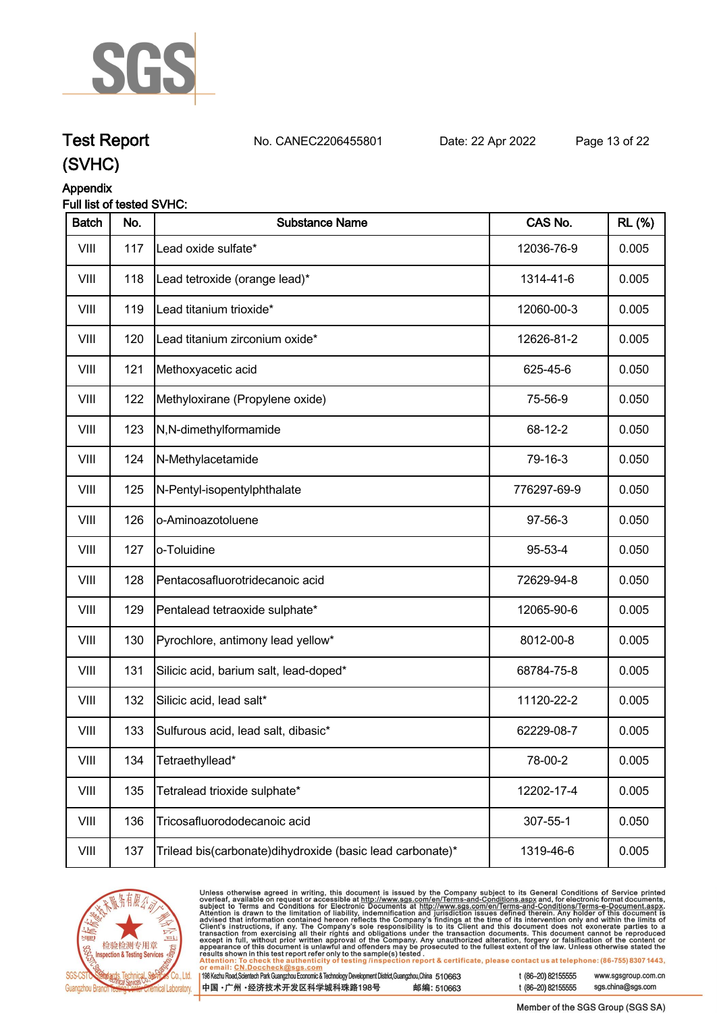

**Test Report. No. CANEC2206455801 . Date: 22 Apr 2022. Page 13 of 22.**

### **Appendix**

#### **Full list of tested SVHC:**

| <b>Batch</b> | No. | <b>Substance Name</b>                                     | CAS No.     | <b>RL (%)</b> |
|--------------|-----|-----------------------------------------------------------|-------------|---------------|
| VIII         | 117 | Lead oxide sulfate*                                       | 12036-76-9  | 0.005         |
| VIII         | 118 | Lead tetroxide (orange lead)*                             | 1314-41-6   | 0.005         |
| VIII         | 119 | Lead titanium trioxide*                                   | 12060-00-3  | 0.005         |
| VIII         | 120 | Lead titanium zirconium oxide*                            | 12626-81-2  | 0.005         |
| VIII         | 121 | Methoxyacetic acid                                        | 625-45-6    | 0.050         |
| VIII         | 122 | Methyloxirane (Propylene oxide)                           | 75-56-9     | 0.050         |
| VIII         | 123 | N,N-dimethylformamide                                     | 68-12-2     | 0.050         |
| VIII         | 124 | N-Methylacetamide                                         | 79-16-3     | 0.050         |
| VIII         | 125 | N-Pentyl-isopentylphthalate                               | 776297-69-9 | 0.050         |
| VIII         | 126 | o-Aminoazotoluene                                         | 97-56-3     | 0.050         |
| VIII         | 127 | o-Toluidine                                               | 95-53-4     | 0.050         |
| VIII         | 128 | Pentacosafluorotridecanoic acid                           | 72629-94-8  | 0.050         |
| VIII         | 129 | Pentalead tetraoxide sulphate*                            | 12065-90-6  | 0.005         |
| VIII         | 130 | Pyrochlore, antimony lead yellow*                         | 8012-00-8   | 0.005         |
| VIII         | 131 | Silicic acid, barium salt, lead-doped*                    | 68784-75-8  | 0.005         |
| VIII         | 132 | Silicic acid, lead salt*                                  | 11120-22-2  | 0.005         |
| VIII         | 133 | Sulfurous acid, lead salt, dibasic*                       | 62229-08-7  | 0.005         |
| VIII         | 134 | Tetraethyllead*                                           | 78-00-2     | 0.005         |
| VIII         | 135 | Tetralead trioxide sulphate*                              | 12202-17-4  | 0.005         |
| VIII         | 136 | Tricosafluorododecanoic acid                              | 307-55-1    | 0.050         |
| VIII         | 137 | Trilead bis(carbonate)dihydroxide (basic lead carbonate)* | 1319-46-6   | 0.005         |



Unless otherwise agreed in writing, this document is issued by the Company subject to its General Conditions of Service printed<br>overleaf, available on request or accessible at http://www.sgs.com/en/Terms-and-Conditions.asp  $|19$ t (86-20) 82155555 www.sgsgroup.com.cn

| 8 Kezhu Road,Scientech Park Guangzhou Economic & Technology Development District,Guangzhou,China    510663<br>!国 •广州 •经济技术开发区科学城科珠路198号 | 邮编: 510663 |
|-----------------------------------------------------------------------------------------------------------------------------------------|------------|
|                                                                                                                                         |            |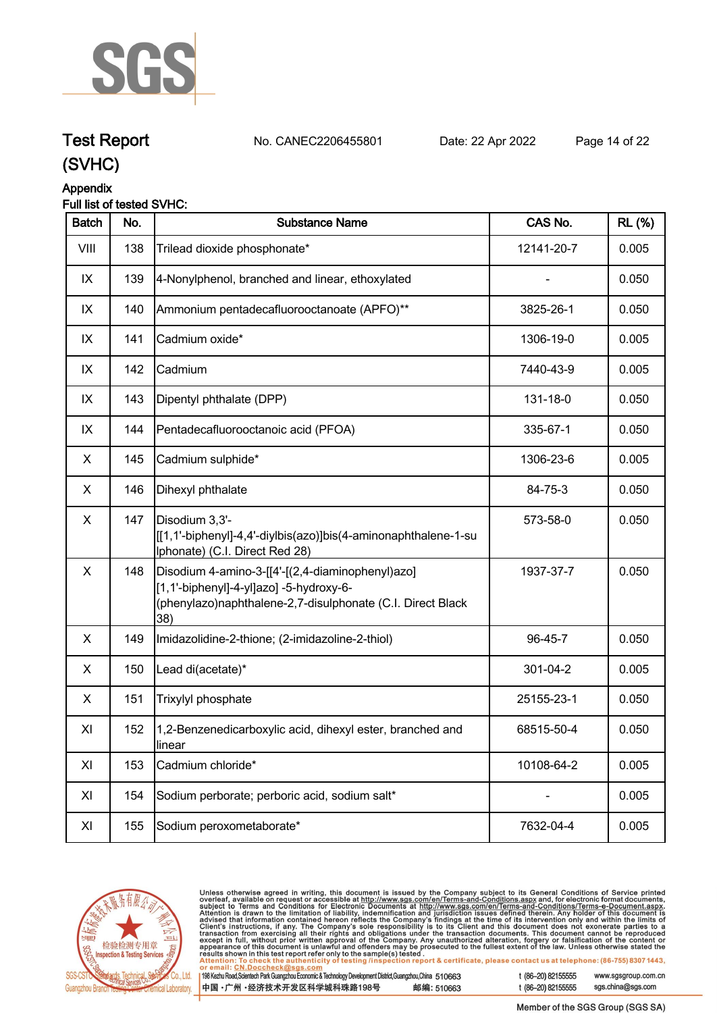

**Test Report. No. CANEC2206455801 . Date: 22 Apr 2022. Page 14 of 22.**

# **Appendix**

### **Full list of tested SVHC:**

| <b>Batch</b> | No. | <b>Substance Name</b>                                                                                                                                            | CAS No.    | <b>RL</b> (%) |
|--------------|-----|------------------------------------------------------------------------------------------------------------------------------------------------------------------|------------|---------------|
| VIII         | 138 | Trilead dioxide phosphonate*                                                                                                                                     | 12141-20-7 | 0.005         |
| IX           | 139 | 4-Nonylphenol, branched and linear, ethoxylated                                                                                                                  |            | 0.050         |
| IX           | 140 | Ammonium pentadecafluorooctanoate (APFO)**                                                                                                                       | 3825-26-1  | 0.050         |
| IX           | 141 | Cadmium oxide*                                                                                                                                                   | 1306-19-0  | 0.005         |
| IX           | 142 | Cadmium                                                                                                                                                          | 7440-43-9  | 0.005         |
| IX           | 143 | Dipentyl phthalate (DPP)                                                                                                                                         | 131-18-0   | 0.050         |
| IX           | 144 | Pentadecafluorooctanoic acid (PFOA)                                                                                                                              | 335-67-1   | 0.050         |
| X            | 145 | Cadmium sulphide*                                                                                                                                                | 1306-23-6  | 0.005         |
| X            | 146 | Dihexyl phthalate                                                                                                                                                | 84-75-3    | 0.050         |
| X            | 147 | Disodium 3,3'-<br>[[1,1'-biphenyl]-4,4'-diylbis(azo)]bis(4-aminonaphthalene-1-su<br>Iphonate) (C.I. Direct Red 28)                                               | 573-58-0   | 0.050         |
| X            | 148 | Disodium 4-amino-3-[[4'-[(2,4-diaminophenyl)azo]<br>[1,1'-biphenyl]-4-yl]azo] -5-hydroxy-6-<br>(phenylazo)naphthalene-2,7-disulphonate (C.I. Direct Black<br>38) | 1937-37-7  | 0.050         |
| X            | 149 | Imidazolidine-2-thione; (2-imidazoline-2-thiol)                                                                                                                  | 96-45-7    | 0.050         |
| X            | 150 | Lead di(acetate)*                                                                                                                                                | 301-04-2   | 0.005         |
| X            | 151 | Trixylyl phosphate                                                                                                                                               | 25155-23-1 | 0.050         |
| XI           | 152 | 1,2-Benzenedicarboxylic acid, dihexyl ester, branched and<br>linear                                                                                              | 68515-50-4 | 0.050         |
| XI           | 153 | Cadmium chloride*                                                                                                                                                | 10108-64-2 | 0.005         |
| XI           | 154 | Sodium perborate; perboric acid, sodium salt*                                                                                                                    |            | 0.005         |
| XI           | 155 | Sodium peroxometaborate*                                                                                                                                         | 7632-04-4  | 0.005         |



Unless otherwise agreed in writing, this document is issued by the Company subject to its General Conditions of Service printed<br>overleaf, available on request or accessible at <u>http://www.sgs.com/en/Terms-and-Conditions.a</u>

| 98 Kezhu Road,Scientech Park Guangzhou Economic & Technology Development District,Guangzhou,China 510663 |            |
|----------------------------------------------------------------------------------------------------------|------------|
| 中国 •广州 •经济技术开发区科学城科珠路198号 ;                                                                              | 邮编: 510663 |

t (86-20) 82155555 www.sgsgroup.com.cn sgs.china@sgs.com t (86-20) 82155555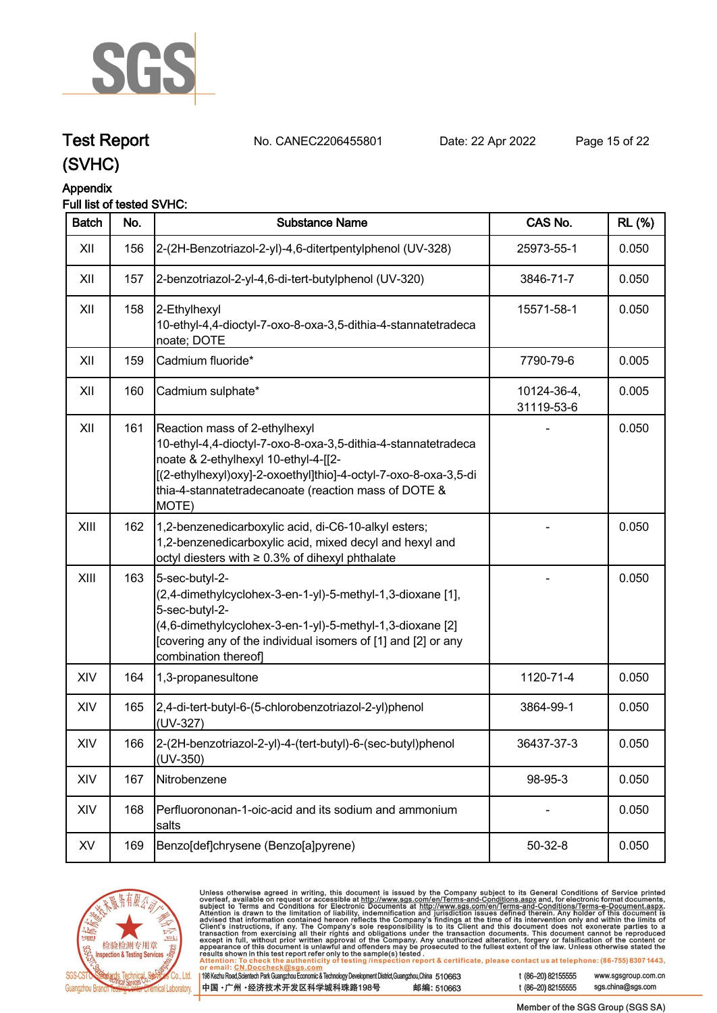

# **Test Report. No. CANEC2206455801 . Date: 22 Apr 2022. Page 15 of 22.**

**(SVHC)**

### **Appendix**

### **Full list of tested SVHC:**

| <b>Batch</b> | No. | <b>Substance Name</b>                                                                                                                                                                                                                                                      | CAS No.                   | <b>RL</b> (%) |
|--------------|-----|----------------------------------------------------------------------------------------------------------------------------------------------------------------------------------------------------------------------------------------------------------------------------|---------------------------|---------------|
| XII          | 156 | 2-(2H-Benzotriazol-2-yl)-4,6-ditertpentylphenol (UV-328)                                                                                                                                                                                                                   | 25973-55-1                | 0.050         |
| XII          | 157 | 2-benzotriazol-2-yl-4,6-di-tert-butylphenol (UV-320)                                                                                                                                                                                                                       | 3846-71-7                 | 0.050         |
| XII          | 158 | 2-Ethylhexyl<br>10-ethyl-4,4-dioctyl-7-oxo-8-oxa-3,5-dithia-4-stannatetradeca<br>noate; DOTE                                                                                                                                                                               | 15571-58-1                | 0.050         |
| XII          | 159 | Cadmium fluoride*                                                                                                                                                                                                                                                          | 7790-79-6                 | 0.005         |
| XII          | 160 | Cadmium sulphate*                                                                                                                                                                                                                                                          | 10124-36-4,<br>31119-53-6 | 0.005         |
| XII          | 161 | Reaction mass of 2-ethylhexyl<br>10-ethyl-4,4-dioctyl-7-oxo-8-oxa-3,5-dithia-4-stannatetradeca<br>noate & 2-ethylhexyl 10-ethyl-4-[[2-<br>[(2-ethylhexyl)oxy]-2-oxoethyl]thio]-4-octyl-7-oxo-8-oxa-3,5-di<br>thia-4-stannatetradecanoate (reaction mass of DOTE &<br>MOTE) |                           | 0.050         |
| XIII         | 162 | 1,2-benzenedicarboxylic acid, di-C6-10-alkyl esters;<br>1,2-benzenedicarboxylic acid, mixed decyl and hexyl and<br>octyl diesters with ≥ 0.3% of dihexyl phthalate                                                                                                         |                           | 0.050         |
| XIII         | 163 | 5-sec-butyl-2-<br>(2,4-dimethylcyclohex-3-en-1-yl)-5-methyl-1,3-dioxane [1],<br>5-sec-butyl-2-<br>(4,6-dimethylcyclohex-3-en-1-yl)-5-methyl-1,3-dioxane [2]<br>[covering any of the individual isomers of [1] and [2] or any<br>combination thereof]                       |                           | 0.050         |
| XIV          | 164 | 1,3-propanesultone                                                                                                                                                                                                                                                         | 1120-71-4                 | 0.050         |
| XIV          | 165 | 2,4-di-tert-butyl-6-(5-chlorobenzotriazol-2-yl)phenol<br>(UV-327)                                                                                                                                                                                                          | 3864-99-1                 | 0.050         |
| XIV          | 166 | 2-(2H-benzotriazol-2-yl)-4-(tert-butyl)-6-(sec-butyl)phenol<br>$(UV-350)$                                                                                                                                                                                                  | 36437-37-3                | 0.050         |
| XIV          | 167 | Nitrobenzene                                                                                                                                                                                                                                                               | 98-95-3                   | 0.050         |
| XIV          | 168 | Perfluorononan-1-oic-acid and its sodium and ammonium<br>salts                                                                                                                                                                                                             |                           | 0.050         |
| XV           | 169 | Benzo[def]chrysene (Benzo[a]pyrene)                                                                                                                                                                                                                                        | $50 - 32 - 8$             | 0.050         |



Unless otherwise agreed in writing, this document is issued by the Company subject to its General Conditions of Service printed<br>overleaf, available on request or accessible at <u>http://www.sgs.com/en/Terms-and-Conditions.a</u>

| 198 Kezhu Road,Scientech Park Guangzhou Economic & Technology Development District,Guangzhou,China 51 0663 |            |
|------------------------------------------------------------------------------------------------------------|------------|
| 【中国 •广州 •经济技术开发区科学城科珠路198号 ↓                                                                               | 邮编: 510663 |

t (86-20) 82155555 www.sgsgroup.com.cn sgs.china@sgs.com t (86-20) 82155555

Member of the SGS Group (SGS SA)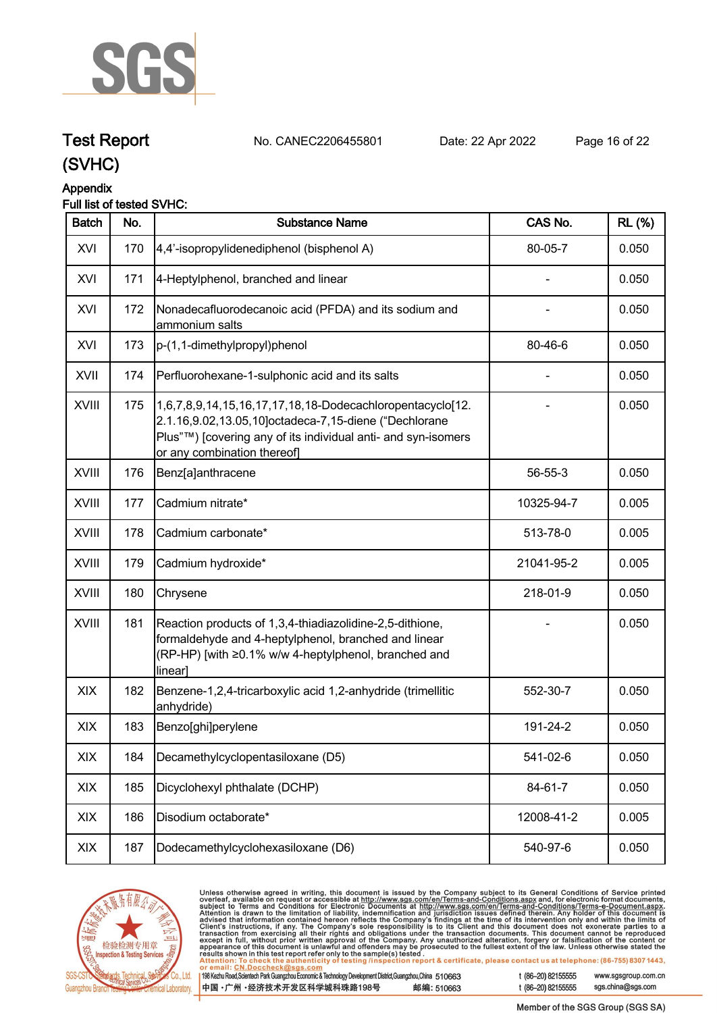

# **Test Report. No. CANEC2206455801 . Date: 22 Apr 2022. Page 16 of 22.**

**(SVHC)**

## **Appendix**

#### **Full list of tested SVHC:**

| <b>Batch</b> | No. | <b>Substance Name</b>                                                                                                                                                                                              | CAS No.    | <b>RL (%)</b> |
|--------------|-----|--------------------------------------------------------------------------------------------------------------------------------------------------------------------------------------------------------------------|------------|---------------|
| XVI          | 170 | 4,4'-isopropylidenediphenol (bisphenol A)                                                                                                                                                                          | 80-05-7    | 0.050         |
| XVI          | 171 | 4-Heptylphenol, branched and linear                                                                                                                                                                                |            | 0.050         |
| XVI          | 172 | Nonadecafluorodecanoic acid (PFDA) and its sodium and<br>ammonium salts                                                                                                                                            |            | 0.050         |
| XVI          | 173 | p-(1,1-dimethylpropyl)phenol                                                                                                                                                                                       | 80-46-6    | 0.050         |
| XVII         | 174 | Perfluorohexane-1-sulphonic acid and its salts                                                                                                                                                                     |            | 0.050         |
| <b>XVIII</b> | 175 | 1,6,7,8,9,14,15,16,17,17,18,18-Dodecachloropentacyclo[12.<br>2.1.16,9.02,13.05,10]octadeca-7,15-diene ("Dechlorane<br>Plus"™) [covering any of its individual anti- and syn-isomers<br>or any combination thereof] |            | 0.050         |
| XVIII        | 176 | Benz[a]anthracene                                                                                                                                                                                                  | 56-55-3    | 0.050         |
| XVIII        | 177 | Cadmium nitrate*                                                                                                                                                                                                   | 10325-94-7 | 0.005         |
| XVIII        | 178 | Cadmium carbonate*                                                                                                                                                                                                 | 513-78-0   | 0.005         |
| XVIII        | 179 | Cadmium hydroxide*                                                                                                                                                                                                 | 21041-95-2 | 0.005         |
| <b>XVIII</b> | 180 | Chrysene                                                                                                                                                                                                           | 218-01-9   | 0.050         |
| XVIII        | 181 | Reaction products of 1,3,4-thiadiazolidine-2,5-dithione,<br>formaldehyde and 4-heptylphenol, branched and linear<br>(RP-HP) [with ≥0.1% w/w 4-heptylphenol, branched and<br>linear]                                |            | 0.050         |
| <b>XIX</b>   | 182 | Benzene-1,2,4-tricarboxylic acid 1,2-anhydride (trimellitic<br>anhydride)                                                                                                                                          | 552-30-7   | 0.050         |
| XIX          | 183 | Benzo[ghi]perylene                                                                                                                                                                                                 | 191-24-2   | 0.050         |
| XIX          | 184 | Decamethylcyclopentasiloxane (D5)                                                                                                                                                                                  | 541-02-6   | 0.050         |
| XIX          | 185 | Dicyclohexyl phthalate (DCHP)                                                                                                                                                                                      | 84-61-7    | 0.050         |
| XIX          | 186 | Disodium octaborate*                                                                                                                                                                                               | 12008-41-2 | 0.005         |
| XIX          | 187 | Dodecamethylcyclohexasiloxane (D6)                                                                                                                                                                                 | 540-97-6   | 0.050         |
|              |     |                                                                                                                                                                                                                    |            |               |



Unless otherwise agreed in writing, this document is issued by the Company subject to its General Conditions of Service printed<br>overleaf, available on request or accessible at http://www.sgs.com/en/Terms-and-Conditions.as

| 198 Kezhu Road,Scientech Park Guangzhou Economic & Technology Development District,Guangzhou,China 510663 |            |
|-----------------------------------------------------------------------------------------------------------|------------|
| 中国 •广州 •经济技术开发区科学城科珠路198号 ;                                                                               | 邮编: 510663 |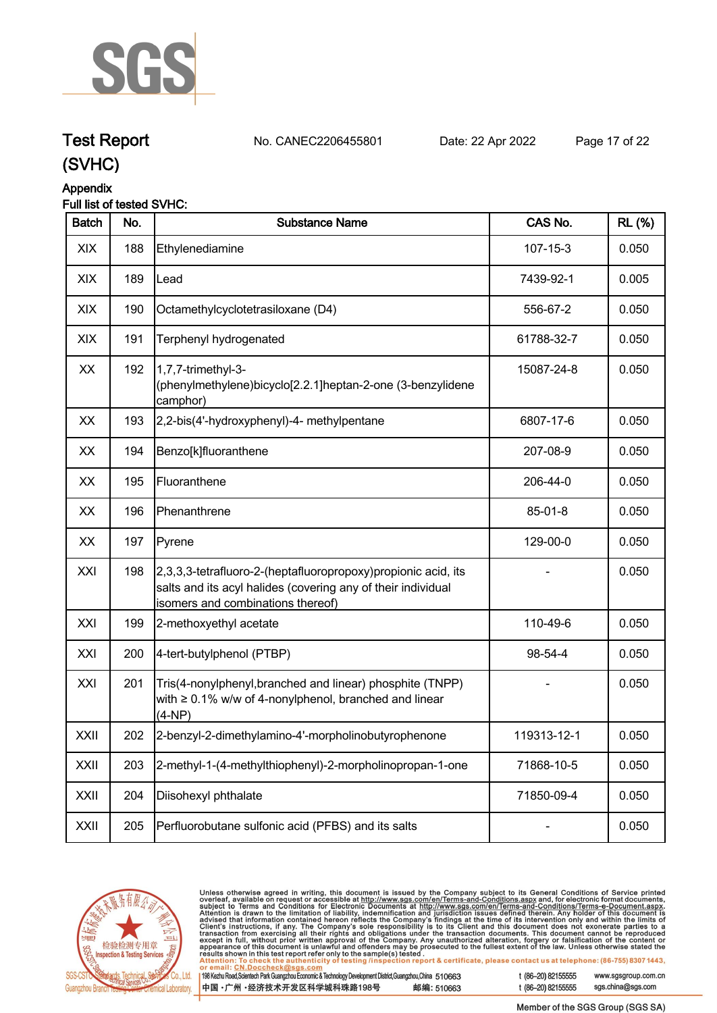

# **Test Report. No. CANEC2206455801 . Date: 22 Apr 2022. Page 17 of 22.**

**(SVHC)**

### **Appendix**

#### **Full list of tested SVHC:**

| <b>Batch</b> | No. | <b>Substance Name</b>                                                                                                                                               | CAS No.        | <b>RL</b> (%) |
|--------------|-----|---------------------------------------------------------------------------------------------------------------------------------------------------------------------|----------------|---------------|
| XIX          | 188 | Ethylenediamine                                                                                                                                                     | $107 - 15 - 3$ | 0.050         |
| XIX          | 189 | Lead                                                                                                                                                                | 7439-92-1      | 0.005         |
| XIX          | 190 | Octamethylcyclotetrasiloxane (D4)                                                                                                                                   | 556-67-2       | 0.050         |
| XIX          | 191 | Terphenyl hydrogenated                                                                                                                                              | 61788-32-7     | 0.050         |
| XX           | 192 | 1,7,7-trimethyl-3-<br>(phenylmethylene)bicyclo[2.2.1]heptan-2-one (3-benzylidene<br>camphor)                                                                        | 15087-24-8     | 0.050         |
| XX           | 193 | 2,2-bis(4'-hydroxyphenyl)-4- methylpentane                                                                                                                          | 6807-17-6      | 0.050         |
| XX           | 194 | Benzo[k]fluoranthene                                                                                                                                                | 207-08-9       | 0.050         |
| XX           | 195 | Fluoranthene                                                                                                                                                        | 206-44-0       | 0.050         |
| XX           | 196 | Phenanthrene                                                                                                                                                        | 85-01-8        | 0.050         |
| XX           | 197 | Pyrene                                                                                                                                                              | 129-00-0       | 0.050         |
| XXI          | 198 | 2,3,3,3-tetrafluoro-2-(heptafluoropropoxy) propionic acid, its<br>salts and its acyl halides (covering any of their individual<br>isomers and combinations thereof) |                | 0.050         |
| XXI          | 199 | 2-methoxyethyl acetate                                                                                                                                              | 110-49-6       | 0.050         |
| XXI          | 200 | 4-tert-butylphenol (PTBP)                                                                                                                                           | 98-54-4        | 0.050         |
| XXI          | 201 | Tris(4-nonylphenyl, branched and linear) phosphite (TNPP)<br>with $\geq 0.1\%$ w/w of 4-nonylphenol, branched and linear<br>$(4-NP)$                                |                | 0.050         |
| XXII         | 202 | 2-benzyl-2-dimethylamino-4'-morpholinobutyrophenone                                                                                                                 | 119313-12-1    | 0.050         |
| XXII         | 203 | 2-methyl-1-(4-methylthiophenyl)-2-morpholinopropan-1-one                                                                                                            | 71868-10-5     | 0.050         |
| XXII         | 204 | Diisohexyl phthalate                                                                                                                                                | 71850-09-4     | 0.050         |
| XXII         | 205 | Perfluorobutane sulfonic acid (PFBS) and its salts                                                                                                                  |                | 0.050         |



Unless otherwise agreed in writing, this document is issued by the Company subject to its General Conditions of Service printed overleaf, available on request or accessible at http://www.sgs.com/en/Terms-and-Conditions.as

198 Kezhu Road, Scientech Park Guangzhou Economic & Technology Development District, Guangzhou, China 510663 中国·广州·经济技术开发区科学城科珠路198号 邮编: 510663 t (86-20) 82155555 www.sgsgroup.com.cn

t (86-20) 82155555

Member of the SGS Group (SGS SA)

sgs.china@sgs.com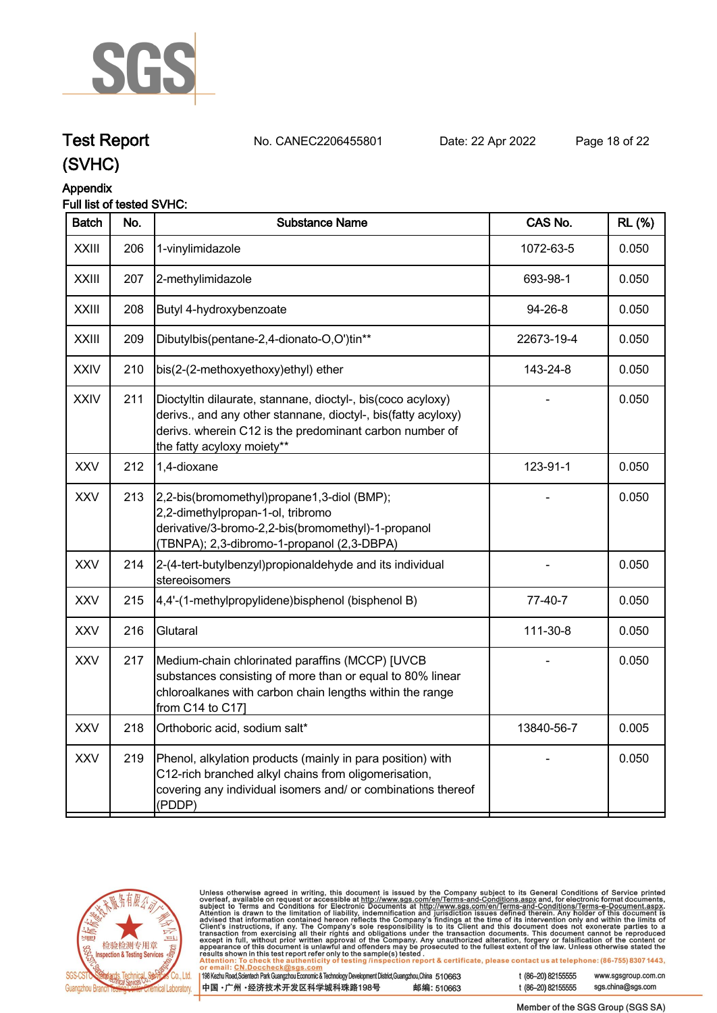

# **Test Report. No. CANEC2206455801 . Date: 22 Apr 2022. Page 18 of 22.**

**(SVHC)**

### **Appendix**

#### **Full list of tested SVHC:**

| <b>Batch</b> | No. | <b>Substance Name</b>                                                                                                                                                                                                 | CAS No.    | <b>RL</b> (%) |
|--------------|-----|-----------------------------------------------------------------------------------------------------------------------------------------------------------------------------------------------------------------------|------------|---------------|
| <b>XXIII</b> | 206 | 1-vinylimidazole                                                                                                                                                                                                      | 1072-63-5  | 0.050         |
| <b>XXIII</b> | 207 | 2-methylimidazole                                                                                                                                                                                                     | 693-98-1   | 0.050         |
| <b>XXIII</b> | 208 | Butyl 4-hydroxybenzoate                                                                                                                                                                                               | 94-26-8    | 0.050         |
| <b>XXIII</b> | 209 | Dibutylbis(pentane-2,4-dionato-O,O')tin**                                                                                                                                                                             | 22673-19-4 | 0.050         |
| <b>XXIV</b>  | 210 | bis(2-(2-methoxyethoxy)ethyl) ether                                                                                                                                                                                   | 143-24-8   | 0.050         |
| <b>XXIV</b>  | 211 | Dioctyltin dilaurate, stannane, dioctyl-, bis(coco acyloxy)<br>derivs., and any other stannane, dioctyl-, bis(fatty acyloxy)<br>derivs. wherein C12 is the predominant carbon number of<br>the fatty acyloxy moiety** |            | 0.050         |
| <b>XXV</b>   | 212 | 1,4-dioxane                                                                                                                                                                                                           | 123-91-1   | 0.050         |
| <b>XXV</b>   | 213 | 2,2-bis(bromomethyl)propane1,3-diol (BMP);<br>2,2-dimethylpropan-1-ol, tribromo<br>derivative/3-bromo-2,2-bis(bromomethyl)-1-propanol<br>(TBNPA); 2,3-dibromo-1-propanol (2,3-DBPA)                                   |            | 0.050         |
| <b>XXV</b>   | 214 | 2-(4-tert-butylbenzyl)propionaldehyde and its individual<br>stereoisomers                                                                                                                                             |            | 0.050         |
| <b>XXV</b>   | 215 | 4,4'-(1-methylpropylidene)bisphenol (bisphenol B)                                                                                                                                                                     | 77-40-7    | 0.050         |
| XXV          | 216 | Glutaral                                                                                                                                                                                                              | 111-30-8   | 0.050         |
| <b>XXV</b>   | 217 | Medium-chain chlorinated paraffins (MCCP) [UVCB<br>substances consisting of more than or equal to 80% linear<br>chloroalkanes with carbon chain lengths within the range<br>from C14 to C171                          |            | 0.050         |
| <b>XXV</b>   | 218 | Orthoboric acid, sodium salt*                                                                                                                                                                                         | 13840-56-7 | 0.005         |
| XXV          | 219 | Phenol, alkylation products (mainly in para position) with<br>C12-rich branched alkyl chains from oligomerisation,<br>covering any individual isomers and/ or combinations thereof<br>(PDDP)                          |            | 0.050         |
|              |     |                                                                                                                                                                                                                       |            |               |



Unless otherwise agreed in writing, this document is issued by the Company subject to its General Conditions of Service printed overleaf, available on request or accessible at http://www.sgs.com/en/Terms-and-Conditions.as

198 Kezhu Road, Scientech Park Guangzhou Economic & Technology Development District, Guangzhou, China 510663 中国·广州·经济技术开发区科学城科珠路198号 邮编: 510663 t (86-20) 82155555

t (86-20) 82155555

www.sgsgroup.com.cn sgs.china@sgs.com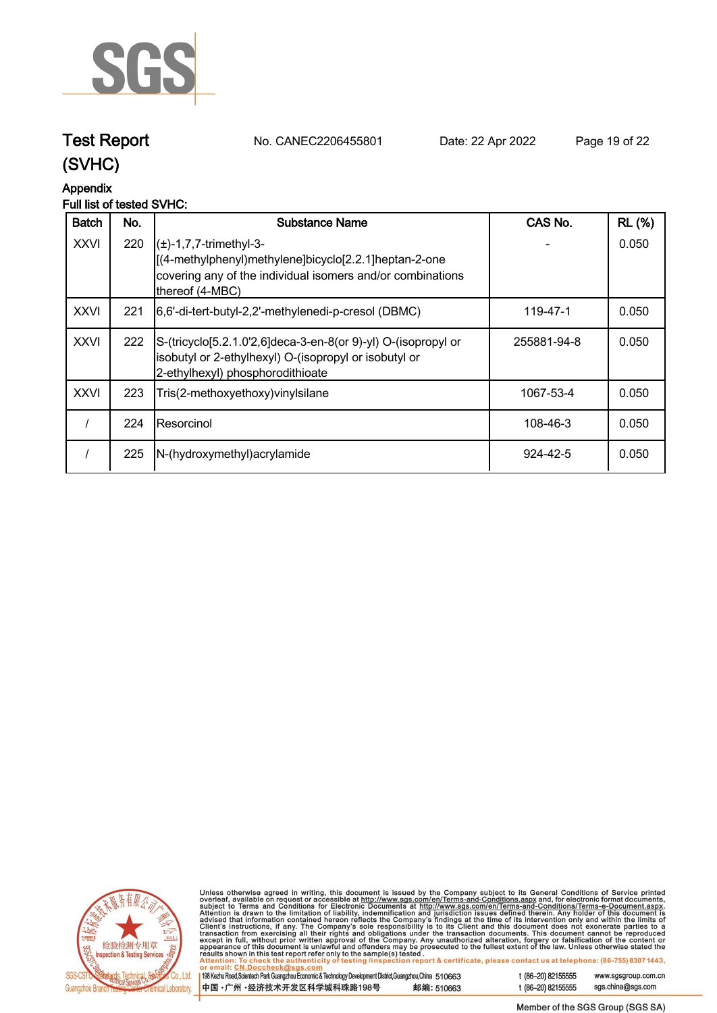

**Test Report. No. CANEC2206455801 . Date: 22 Apr 2022. Page 19 of 22.**

## **(SVHC)**

### **Appendix**

#### **Full list of tested SVHC:**

| <b>Batch</b> | No. | Substance Name                                                                                                                                                                     | CAS No.     | <b>RL (%)</b> |
|--------------|-----|------------------------------------------------------------------------------------------------------------------------------------------------------------------------------------|-------------|---------------|
| <b>XXVI</b>  | 220 | $\left( \pm \right)$ -1,7,7-trimethyl-3-<br>[(4-methylphenyl)methylene]bicyclo[2.2.1]heptan-2-one<br>covering any of the individual isomers and/or combinations<br>thereof (4-MBC) |             | 0.050         |
| <b>XXVI</b>  | 221 | [6,6'-di-tert-butyl-2,2'-methylenedi-p-cresol (DBMC)                                                                                                                               | 119-47-1    | 0.050         |
| <b>XXVI</b>  | 222 | S-(tricyclo[5.2.1.0'2,6]deca-3-en-8(or 9)-yl) O-(isopropyl or<br>isobutyl or 2-ethylhexyl) O-(isopropyl or isobutyl or<br>2-ethylhexyl) phosphorodithioate                         | 255881-94-8 | 0.050         |
| <b>XXVI</b>  | 223 | Tris(2-methoxyethoxy) vinyl silane                                                                                                                                                 | 1067-53-4   | 0.050         |
|              | 224 | IResorcinol                                                                                                                                                                        | 108-46-3    | 0.050         |
|              | 225 | N-(hydroxymethyl) acrylamide                                                                                                                                                       | 924-42-5    | 0.050         |



Unless otherwise agreed in writing, this document is issued by the Company subject to its General Conditions of Service printed<br>overleaf, available on request or accessible at http://www.sgs.com/en/Terms-and-Conditions.as

| 198 Kezhu Road, Scientech Park Guangzhou Economic & Technology Development District, Guangzhou, China 510663 |            |
|--------------------------------------------------------------------------------------------------------------|------------|
| 中国 •广州 •经济技术开发区科学城科珠路198号                                                                                    | 邮编: 510663 |

t (86-20) 82155555 www.sgsgroup.com.cn sgs.china@sgs.com t (86-20) 82155555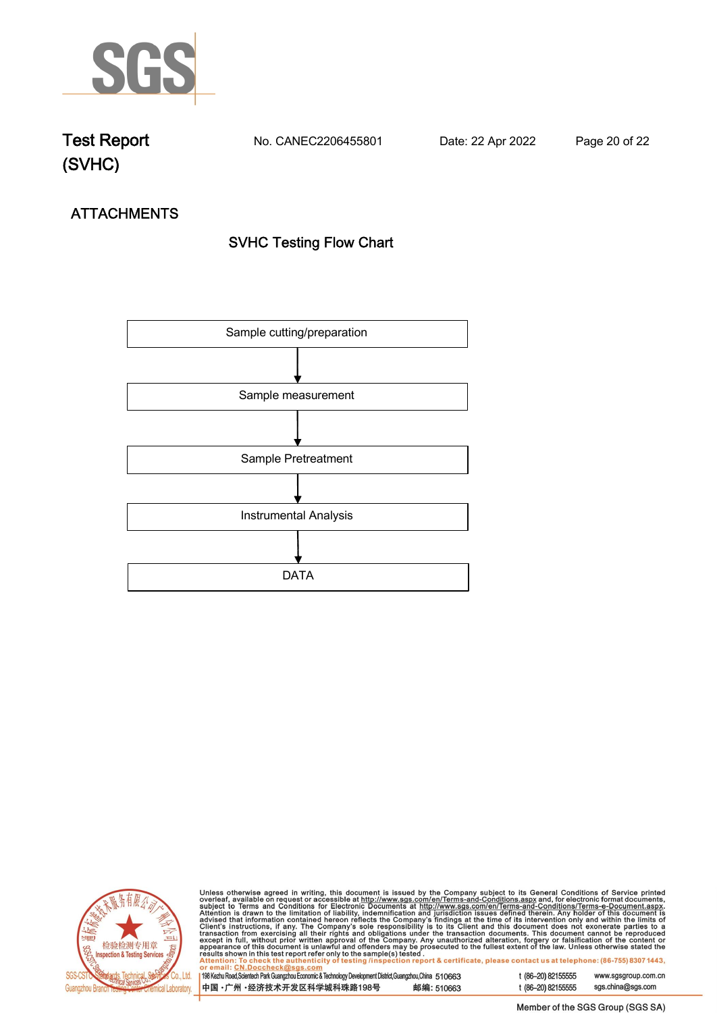

**Test Report. No. CANEC2206455801 . Date: 22 Apr 2022. Page 20 of 22.**

# **ATTACHMENTS SVHC Testing Flow Chart**





Unless otherwise agreed in writing, this document is issued by the Company subject to its General Conditions of Service printed<br>overleaf, available on request or accessible at http://www.sgs.com/en/Terms-and-Conditions.as

| <u>UI GIIIQIII. UN.DUUUIIGUNIWSUS.UUIII</u>                                                                  |            |
|--------------------------------------------------------------------------------------------------------------|------------|
|                                                                                                              |            |
| 198 Kezhu Road, Scientech Park Guangzhou Economic & Technology Development District, Guangzhou, China 510663 |            |
|                                                                                                              |            |
|                                                                                                              |            |
| 中国 •广州 •经济技术开发区科学城科珠路198号                                                                                    | 邮编: 510663 |
|                                                                                                              |            |
|                                                                                                              |            |

t (86-20) 82155555 www.sgsgroup.com.cn t (86-20) 82155555 sgs.china@sgs.com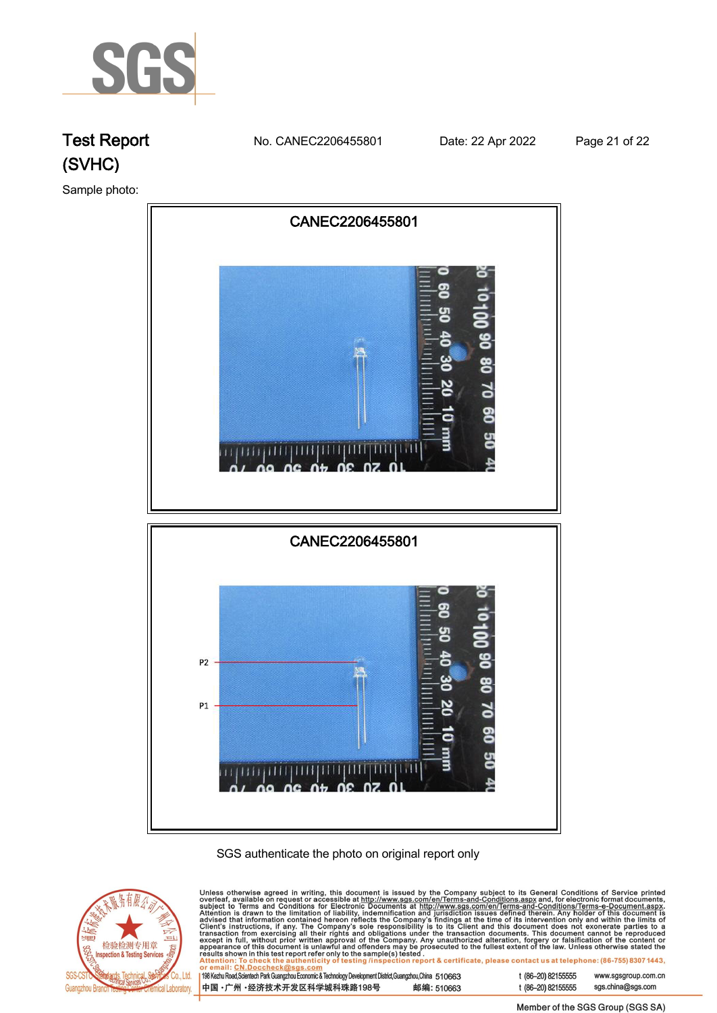

# **Test Report. No. CANEC2206455801 . Date: 22 Apr 2022. Page 21 of 22. (SVHC)**

**Sample photo:.**







| 中国 •广州 •经济技术开发区科学城科珠路198号                                                                                    | 邮编: 510663 |
|--------------------------------------------------------------------------------------------------------------|------------|
| 198 Kezhu Road, Scientech Park Guangzhou Economic & Technology Development District, Guangzhou, China 510663 |            |

t (86-20) 82155555 sgs.china@sgs.com